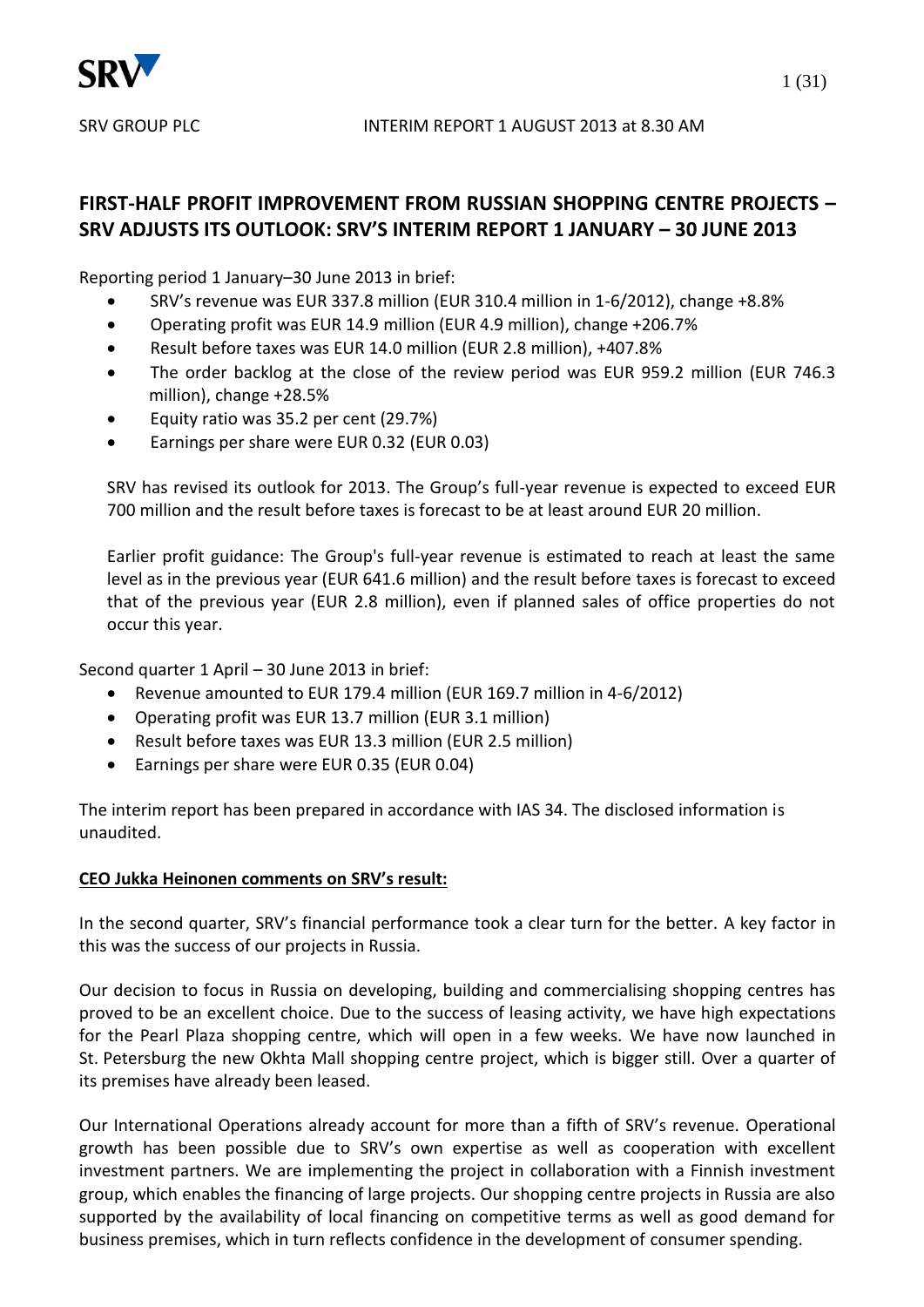

# **FIRST-HALF PROFIT IMPROVEMENT FROM RUSSIAN SHOPPING CENTRE PROJECTS – SRV ADJUSTS ITS OUTLOOK: SRV'S INTERIM REPORT 1 JANUARY – 30 JUNE 2013**

Reporting period 1 January–30 June 2013 in brief:

- SRV's revenue was EUR 337.8 million (EUR 310.4 million in 1-6/2012), change +8.8%
- Operating profit was EUR 14.9 million (EUR 4.9 million), change +206.7%
- Result before taxes was EUR 14.0 million (EUR 2.8 million), +407.8%
- The order backlog at the close of the review period was EUR 959.2 million (EUR 746.3 million), change +28.5%
- Equity ratio was 35.2 per cent (29.7%)
- Earnings per share were EUR 0.32 (EUR 0.03)

SRV has revised its outlook for 2013. The Group's full-year revenue is expected to exceed EUR 700 million and the result before taxes is forecast to be at least around EUR 20 million.

Earlier profit guidance: The Group's full-year revenue is estimated to reach at least the same level as in the previous year (EUR 641.6 million) and the result before taxes is forecast to exceed that of the previous year (EUR 2.8 million), even if planned sales of office properties do not occur this year.

Second quarter 1 April – 30 June 2013 in brief:

- Revenue amounted to EUR 179.4 million (EUR 169.7 million in 4-6/2012)
- Operating profit was EUR 13.7 million (EUR 3.1 million)
- Result before taxes was EUR 13.3 million (EUR 2.5 million)
- Earnings per share were EUR 0.35 (EUR 0.04)

The interim report has been prepared in accordance with IAS 34. The disclosed information is unaudited.

## **CEO Jukka Heinonen comments on SRV's result:**

In the second quarter, SRV's financial performance took a clear turn for the better. A key factor in this was the success of our projects in Russia.

Our decision to focus in Russia on developing, building and commercialising shopping centres has proved to be an excellent choice. Due to the success of leasing activity, we have high expectations for the Pearl Plaza shopping centre, which will open in a few weeks. We have now launched in St. Petersburg the new Okhta Mall shopping centre project, which is bigger still. Over a quarter of its premises have already been leased.

Our International Operations already account for more than a fifth of SRV's revenue. Operational growth has been possible due to SRV's own expertise as well as cooperation with excellent investment partners. We are implementing the project in collaboration with a Finnish investment group, which enables the financing of large projects. Our shopping centre projects in Russia are also supported by the availability of local financing on competitive terms as well as good demand for business premises, which in turn reflects confidence in the development of consumer spending.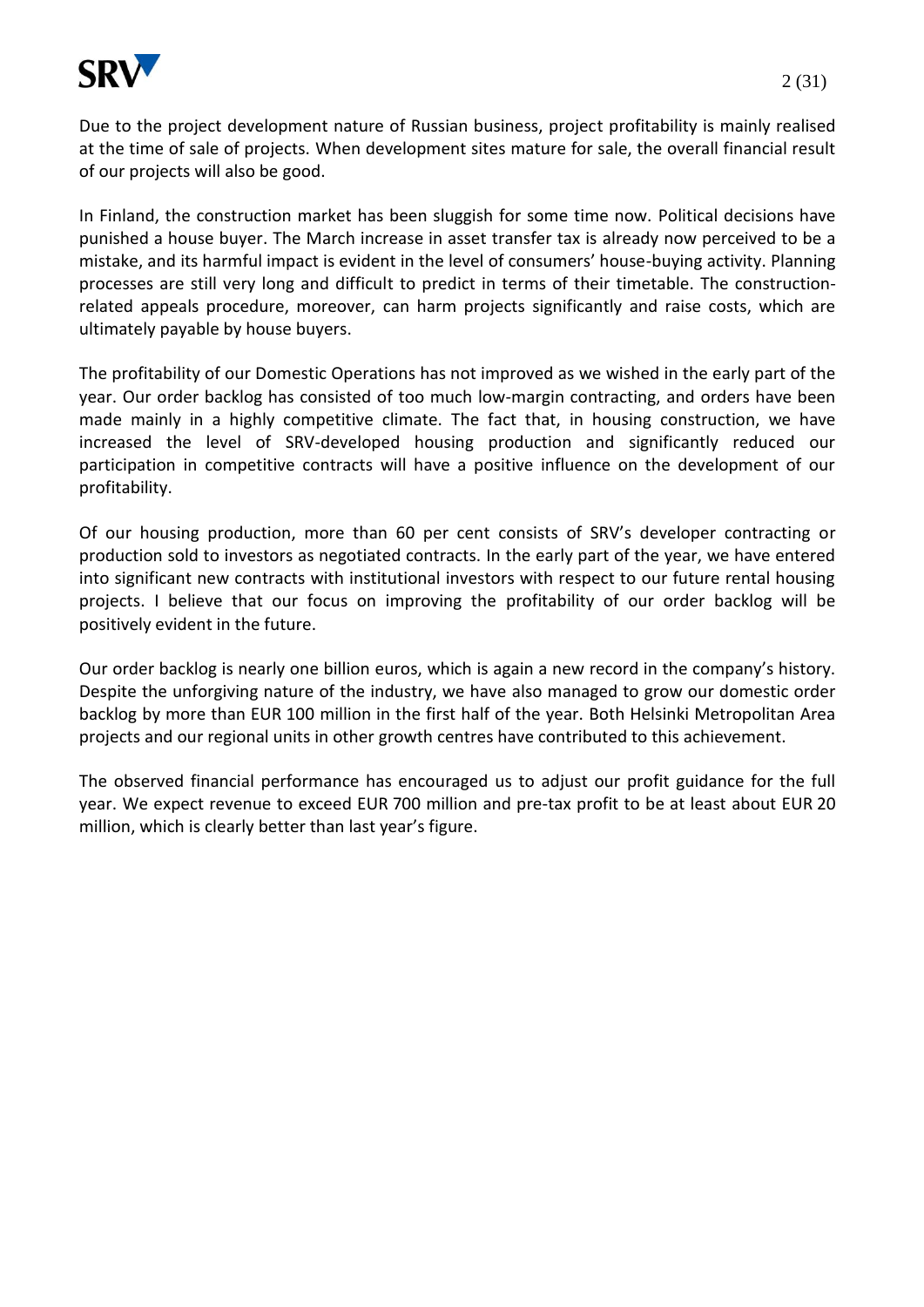

Due to the project development nature of Russian business, project profitability is mainly realised at the time of sale of projects. When development sites mature for sale, the overall financial result of our projects will also be good.

In Finland, the construction market has been sluggish for some time now. Political decisions have punished a house buyer. The March increase in asset transfer tax is already now perceived to be a mistake, and its harmful impact is evident in the level of consumers' house-buying activity. Planning processes are still very long and difficult to predict in terms of their timetable. The constructionrelated appeals procedure, moreover, can harm projects significantly and raise costs, which are ultimately payable by house buyers.

The profitability of our Domestic Operations has not improved as we wished in the early part of the year. Our order backlog has consisted of too much low-margin contracting, and orders have been made mainly in a highly competitive climate. The fact that, in housing construction, we have increased the level of SRV-developed housing production and significantly reduced our participation in competitive contracts will have a positive influence on the development of our profitability.

Of our housing production, more than 60 per cent consists of SRV's developer contracting or production sold to investors as negotiated contracts. In the early part of the year, we have entered into significant new contracts with institutional investors with respect to our future rental housing projects. I believe that our focus on improving the profitability of our order backlog will be positively evident in the future.

Our order backlog is nearly one billion euros, which is again a new record in the company's history. Despite the unforgiving nature of the industry, we have also managed to grow our domestic order backlog by more than EUR 100 million in the first half of the year. Both Helsinki Metropolitan Area projects and our regional units in other growth centres have contributed to this achievement.

The observed financial performance has encouraged us to adjust our profit guidance for the full year. We expect revenue to exceed EUR 700 million and pre-tax profit to be at least about EUR 20 million, which is clearly better than last year's figure.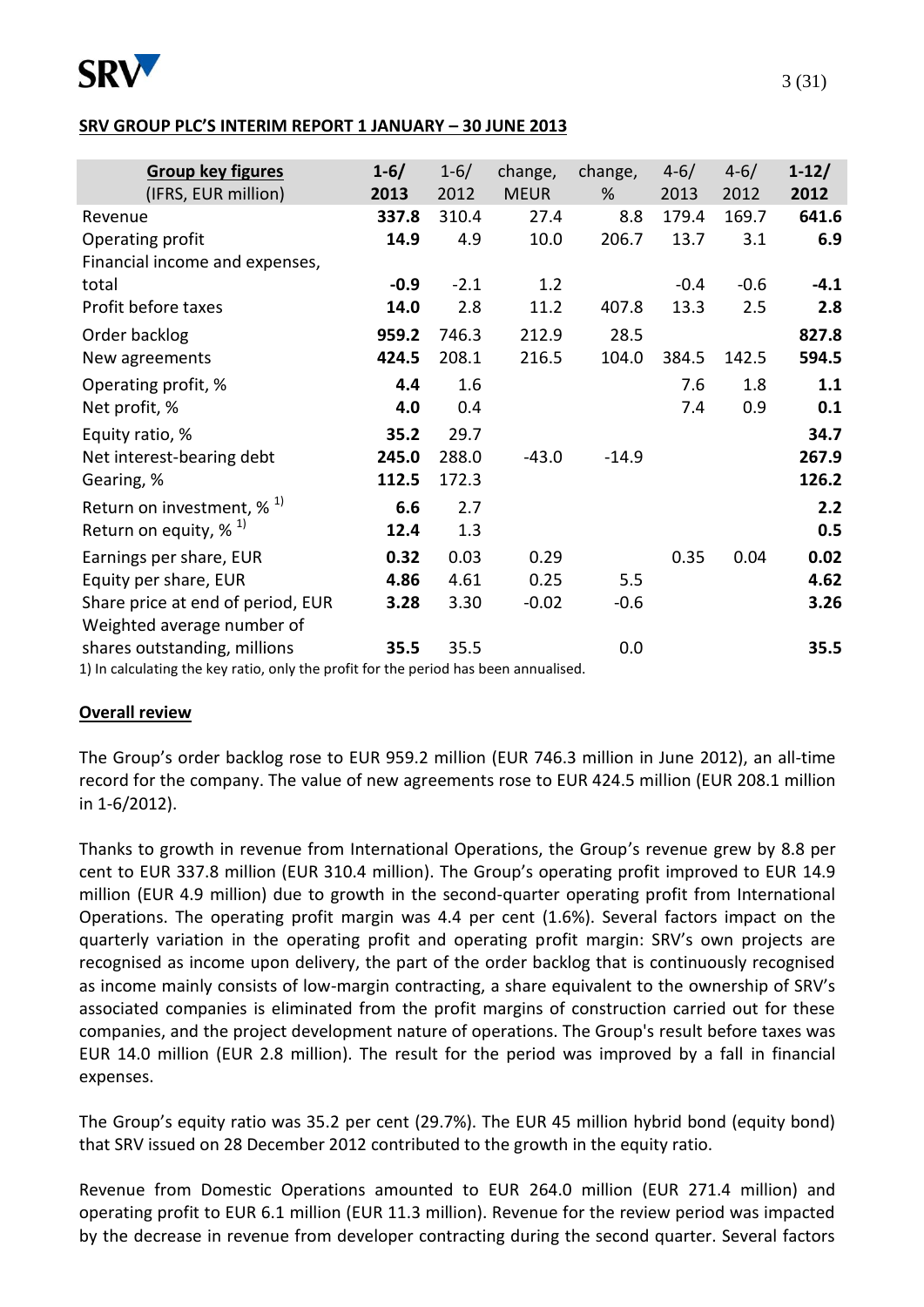

### **SRV GROUP PLC'S INTERIM REPORT 1 JANUARY – 30 JUNE 2013**

| <b>Group key figures</b><br>(IFRS, EUR million)                                                                                                                              | $1 - 6/$<br>2013       | $1 - 6/$<br>2012       | change,<br><b>MEUR</b>  | change,<br>%  | $4 - 6/$<br>2013 | $4 - 6/$<br>2012 | $1 - 12/$<br>2012      |
|------------------------------------------------------------------------------------------------------------------------------------------------------------------------------|------------------------|------------------------|-------------------------|---------------|------------------|------------------|------------------------|
| Revenue<br>Operating profit<br>Financial income and expenses,                                                                                                                | 337.8<br>14.9          | 310.4<br>4.9           | 27.4<br>10.0            | 8.8<br>206.7  | 179.4<br>13.7    | 169.7<br>3.1     | 641.6<br>6.9           |
| total<br>Profit before taxes                                                                                                                                                 | $-0.9$<br>14.0         | $-2.1$<br>2.8          | 1.2<br>11.2             | 407.8         | $-0.4$<br>13.3   | $-0.6$<br>2.5    | $-4.1$<br>2.8          |
| Order backlog<br>New agreements                                                                                                                                              | 959.2<br>424.5         | 746.3<br>208.1         | 212.9<br>216.5          | 28.5<br>104.0 | 384.5            | 142.5            | 827.8<br>594.5         |
| Operating profit, %<br>Net profit, %                                                                                                                                         | 4.4<br>4.0             | 1.6<br>0.4             |                         |               | 7.6<br>7.4       | 1.8<br>0.9       | 1.1<br>0.1             |
| Equity ratio, %<br>Net interest-bearing debt<br>Gearing, %                                                                                                                   | 35.2<br>245.0<br>112.5 | 29.7<br>288.0<br>172.3 | $-43.0$                 | $-14.9$       |                  |                  | 34.7<br>267.9<br>126.2 |
| Return on investment, $\%$ <sup>1)</sup><br>Return on equity, $\%$ <sup>1)</sup>                                                                                             | 6.6<br>12.4            | 2.7<br>1.3             |                         |               |                  |                  | 2.2<br>0.5             |
| Earnings per share, EUR<br>Equity per share, EUR<br>Share price at end of period, EUR                                                                                        | 0.32<br>4.86<br>3.28   | 0.03<br>4.61<br>3.30   | 0.29<br>0.25<br>$-0.02$ | 5.5<br>$-0.6$ | 0.35             | 0.04             | 0.02<br>4.62<br>3.26   |
| Weighted average number of<br>shares outstanding, millions<br>4 Vital de la cilenta de del de la caractería de la cilenta de la Caractería de la caractería de la caractería | 35.5                   | 35.5                   |                         | 0.0           |                  |                  | 35.5                   |

1) In calculating the key ratio, only the profit for the period has been annualised.

## **Overall review**

The Group's order backlog rose to EUR 959.2 million (EUR 746.3 million in June 2012), an all-time record for the company. The value of new agreements rose to EUR 424.5 million (EUR 208.1 million in 1-6/2012).

Thanks to growth in revenue from International Operations, the Group's revenue grew by 8.8 per cent to EUR 337.8 million (EUR 310.4 million). The Group's operating profit improved to EUR 14.9 million (EUR 4.9 million) due to growth in the second-quarter operating profit from International Operations. The operating profit margin was 4.4 per cent (1.6%). Several factors impact on the quarterly variation in the operating profit and operating profit margin: SRV's own projects are recognised as income upon delivery, the part of the order backlog that is continuously recognised as income mainly consists of low-margin contracting, a share equivalent to the ownership of SRV's associated companies is eliminated from the profit margins of construction carried out for these companies, and the project development nature of operations. The Group's result before taxes was EUR 14.0 million (EUR 2.8 million). The result for the period was improved by a fall in financial expenses.

The Group's equity ratio was 35.2 per cent (29.7%). The EUR 45 million hybrid bond (equity bond) that SRV issued on 28 December 2012 contributed to the growth in the equity ratio.

Revenue from Domestic Operations amounted to EUR 264.0 million (EUR 271.4 million) and operating profit to EUR 6.1 million (EUR 11.3 million). Revenue for the review period was impacted by the decrease in revenue from developer contracting during the second quarter. Several factors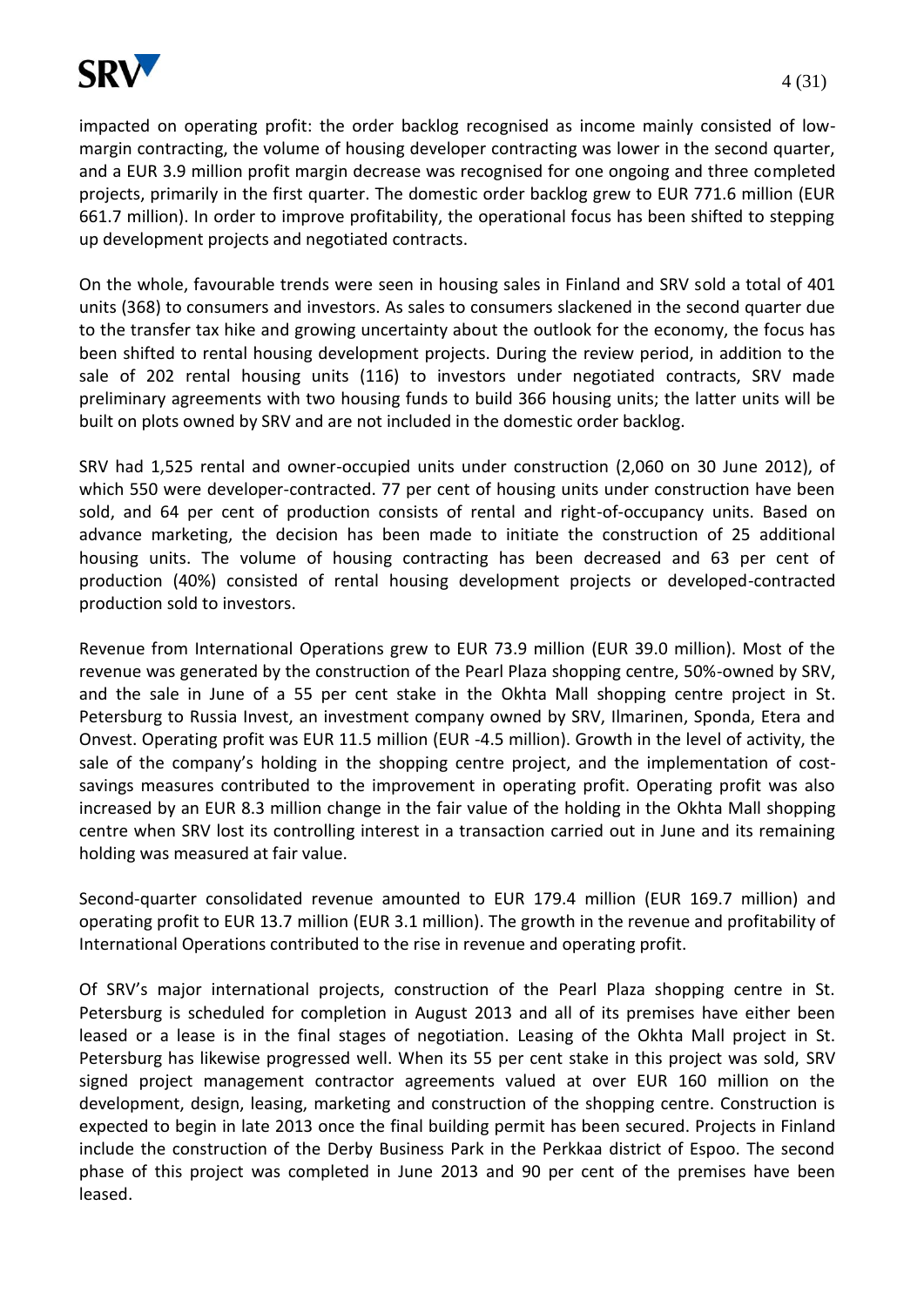

impacted on operating profit: the order backlog recognised as income mainly consisted of lowmargin contracting, the volume of housing developer contracting was lower in the second quarter, and a EUR 3.9 million profit margin decrease was recognised for one ongoing and three completed projects, primarily in the first quarter. The domestic order backlog grew to EUR 771.6 million (EUR 661.7 million). In order to improve profitability, the operational focus has been shifted to stepping up development projects and negotiated contracts.

On the whole, favourable trends were seen in housing sales in Finland and SRV sold a total of 401 units (368) to consumers and investors. As sales to consumers slackened in the second quarter due to the transfer tax hike and growing uncertainty about the outlook for the economy, the focus has been shifted to rental housing development projects. During the review period, in addition to the sale of 202 rental housing units (116) to investors under negotiated contracts, SRV made preliminary agreements with two housing funds to build 366 housing units; the latter units will be built on plots owned by SRV and are not included in the domestic order backlog.

SRV had 1,525 rental and owner-occupied units under construction (2,060 on 30 June 2012), of which 550 were developer-contracted. 77 per cent of housing units under construction have been sold, and 64 per cent of production consists of rental and right-of-occupancy units. Based on advance marketing, the decision has been made to initiate the construction of 25 additional housing units. The volume of housing contracting has been decreased and 63 per cent of production (40%) consisted of rental housing development projects or developed-contracted production sold to investors.

Revenue from International Operations grew to EUR 73.9 million (EUR 39.0 million). Most of the revenue was generated by the construction of the Pearl Plaza shopping centre, 50%-owned by SRV, and the sale in June of a 55 per cent stake in the Okhta Mall shopping centre project in St. Petersburg to Russia Invest, an investment company owned by SRV, Ilmarinen, Sponda, Etera and Onvest. Operating profit was EUR 11.5 million (EUR -4.5 million). Growth in the level of activity, the sale of the company's holding in the shopping centre project, and the implementation of costsavings measures contributed to the improvement in operating profit. Operating profit was also increased by an EUR 8.3 million change in the fair value of the holding in the Okhta Mall shopping centre when SRV lost its controlling interest in a transaction carried out in June and its remaining holding was measured at fair value.

Second-quarter consolidated revenue amounted to EUR 179.4 million (EUR 169.7 million) and operating profit to EUR 13.7 million (EUR 3.1 million). The growth in the revenue and profitability of International Operations contributed to the rise in revenue and operating profit.

Of SRV's major international projects, construction of the Pearl Plaza shopping centre in St. Petersburg is scheduled for completion in August 2013 and all of its premises have either been leased or a lease is in the final stages of negotiation. Leasing of the Okhta Mall project in St. Petersburg has likewise progressed well. When its 55 per cent stake in this project was sold, SRV signed project management contractor agreements valued at over EUR 160 million on the development, design, leasing, marketing and construction of the shopping centre. Construction is expected to begin in late 2013 once the final building permit has been secured. Projects in Finland include the construction of the Derby Business Park in the Perkkaa district of Espoo. The second phase of this project was completed in June 2013 and 90 per cent of the premises have been leased.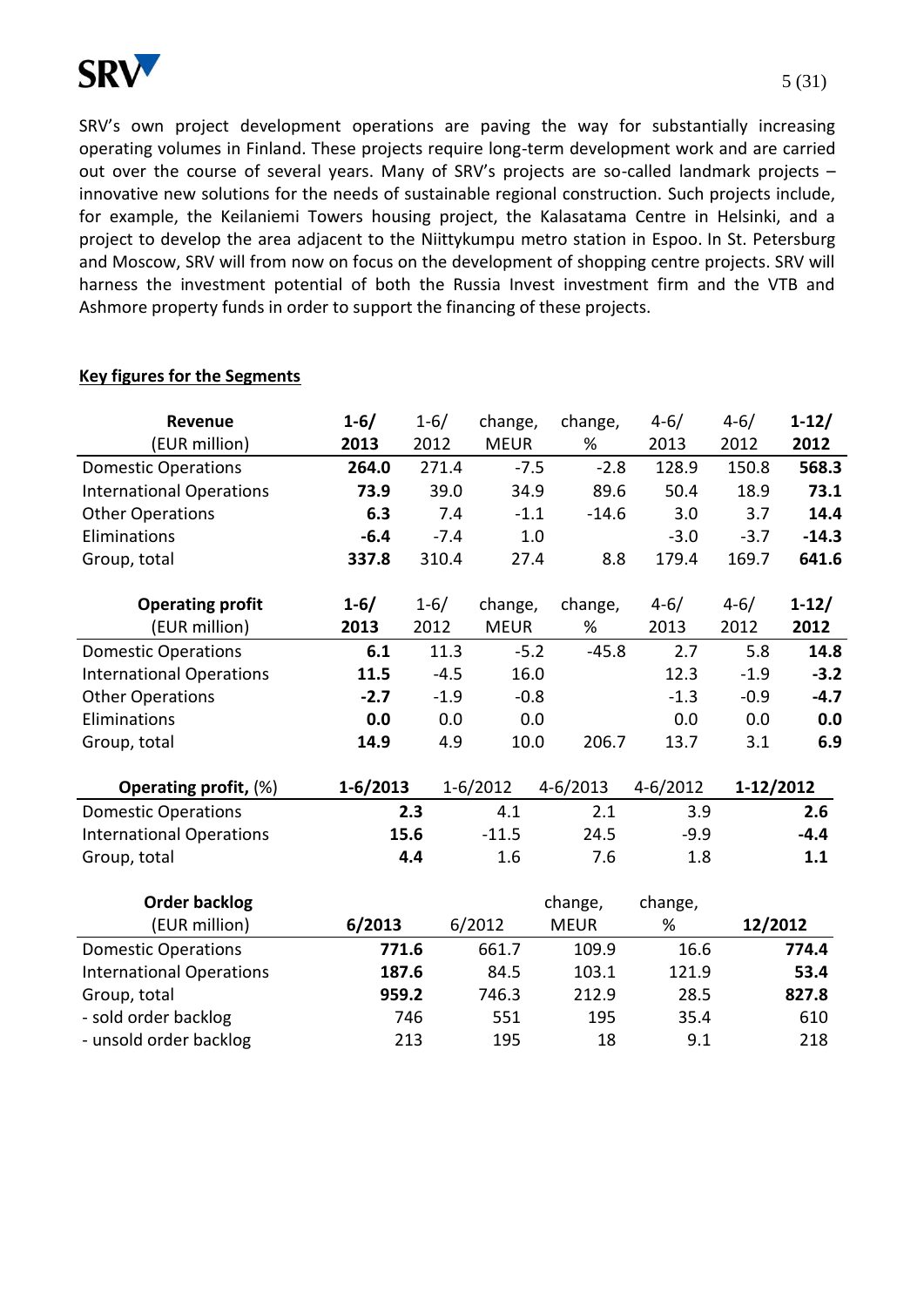

SRV's own project development operations are paving the way for substantially increasing operating volumes in Finland. These projects require long-term development work and are carried out over the course of several years. Many of SRV's projects are so-called landmark projects – innovative new solutions for the needs of sustainable regional construction. Such projects include, for example, the Keilaniemi Towers housing project, the Kalasatama Centre in Helsinki, and a project to develop the area adjacent to the Niittykumpu metro station in Espoo. In St. Petersburg and Moscow, SRV will from now on focus on the development of shopping centre projects. SRV will harness the investment potential of both the Russia Invest investment firm and the VTB and Ashmore property funds in order to support the financing of these projects.

### **Key figures for the Segments**

| <b>Revenue</b>                  | $1 - 6/$     | $1 - 6/$ | change,      | change,      | $4 - 6/$     | $4 - 6/$  | $1-12/$   |
|---------------------------------|--------------|----------|--------------|--------------|--------------|-----------|-----------|
| (EUR million)                   | 2013         | 2012     | <b>MEUR</b>  | %            | 2013         | 2012      | 2012      |
| <b>Domestic Operations</b>      | 264.0        | 271.4    | $-7.5$       | $-2.8$       | 128.9        | 150.8     | 568.3     |
| <b>International Operations</b> | 73.9         | 39.0     | 34.9         | 89.6         | 50.4         | 18.9      | 73.1      |
| <b>Other Operations</b>         | 6.3          | 7.4      | $-1.1$       | $-14.6$      | 3.0          | 3.7       | 14.4      |
| Eliminations                    | $-6.4$       | $-7.4$   | 1.0          |              | $-3.0$       | $-3.7$    | $-14.3$   |
| Group, total                    | 337.8        | 310.4    | 27.4         | 8.8          | 179.4        | 169.7     | 641.6     |
| <b>Operating profit</b>         | $1 - 6/$     | $1 - 6/$ | change,      | change,      | $4 - 6/$     | $4 - 6/$  | $1 - 12/$ |
| (EUR million)                   | 2013         | 2012     | <b>MEUR</b>  | %            | 2013         | 2012      | 2012      |
| <b>Domestic Operations</b>      | 6.1          | 11.3     | $-5.2$       | $-45.8$      | 2.7          | 5.8       | 14.8      |
| <b>International Operations</b> | 11.5         | $-4.5$   | 16.0         |              | 12.3         | $-1.9$    | $-3.2$    |
| <b>Other Operations</b>         | $-2.7$       | $-1.9$   | $-0.8$       |              | $-1.3$       | $-0.9$    | $-4.7$    |
| Eliminations                    | 0.0          | 0.0      | 0.0          |              | 0.0          | 0.0       | 0.0       |
| Group, total                    | 14.9         | 4.9      | 10.0         | 206.7        | 13.7         | 3.1       | 6.9       |
| <b>Operating profit, (%)</b>    | $1 - 6/2013$ |          | $1 - 6/2012$ | $4 - 6/2013$ | $4 - 6/2012$ | 1-12/2012 |           |
| <b>Domestic Operations</b>      |              | 2.3      | 4.1          | 2.1          | 3.9          |           | 2.6       |
| <b>International Operations</b> |              | 15.6     | $-11.5$      | 24.5         | $-9.9$       |           | $-4.4$    |
| Group, total                    |              | 4.4      | 1.6          | 7.6          | 1.8          |           | 1.1       |
| <b>Order backlog</b>            |              |          |              | change,      | change,      |           |           |
| (EUR million)                   | 6/2013       |          | 6/2012       | <b>MEUR</b>  | %            | 12/2012   |           |
| <b>Domestic Operations</b>      | 771.6        |          | 661.7        | 109.9        | 16.6         |           | 774.4     |
| <b>International Operations</b> | 187.6        |          | 84.5         | 103.1        | 121.9        |           | 53.4      |
| Group, total                    | 959.2        |          | 746.3        | 212.9        | 28.5         |           | 827.8     |
| - sold order backlog            |              | 746      | 551          | 195          | 35.4         |           | 610       |
| - unsold order backlog          |              | 213      | 195          | 18           | 9.1          |           | 218       |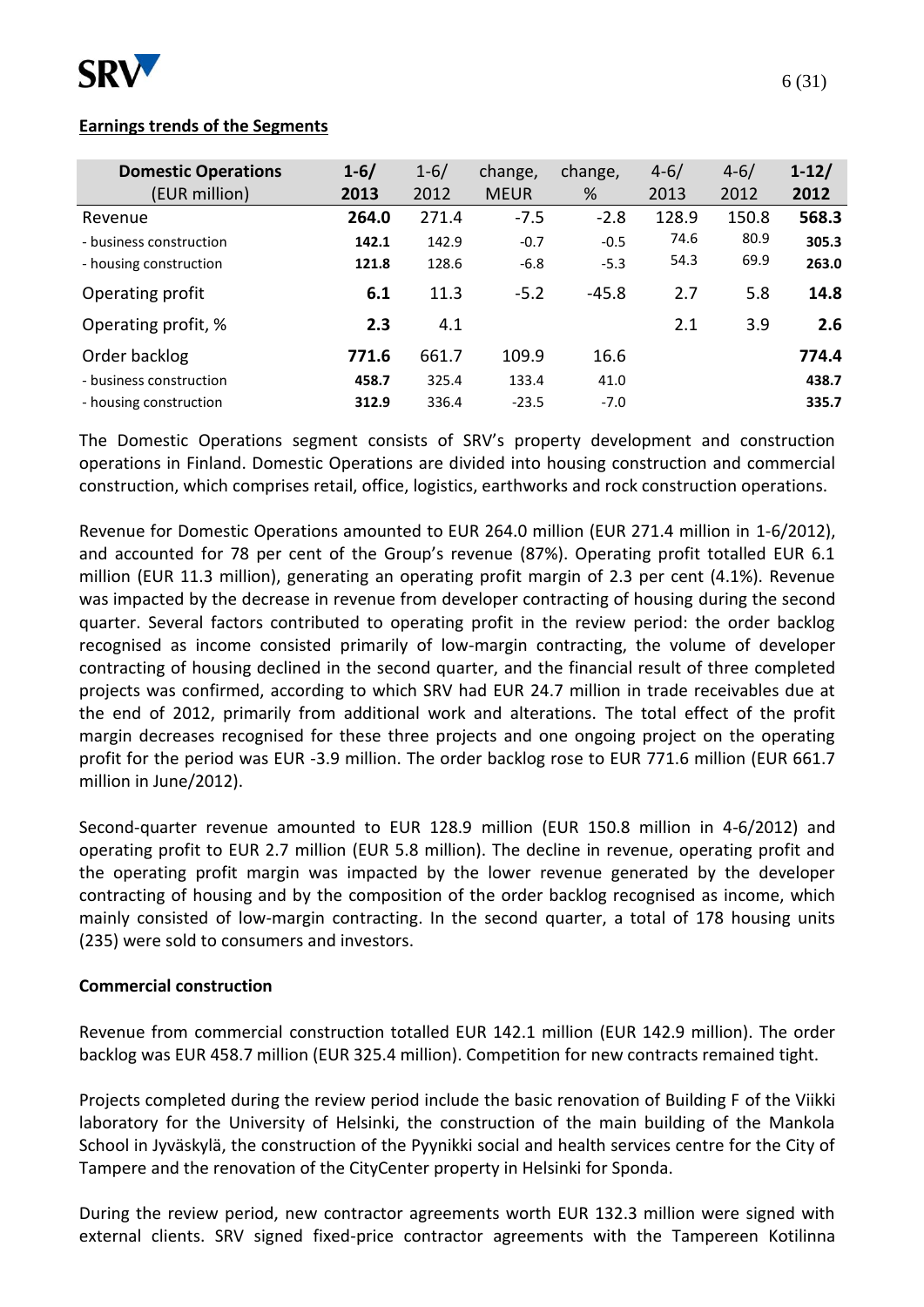

### **Earnings trends of the Segments**

| <b>Domestic Operations</b> | $1 - 6/$ | $1 - 6/$ | change,     | change, | $4 - 6/$ | $4 - 6/$ | $1 - 12/$ |
|----------------------------|----------|----------|-------------|---------|----------|----------|-----------|
| (EUR million)              | 2013     | 2012     | <b>MEUR</b> | %       | 2013     | 2012     | 2012      |
| Revenue                    | 264.0    | 271.4    | $-7.5$      | $-2.8$  | 128.9    | 150.8    | 568.3     |
| - business construction    | 142.1    | 142.9    | $-0.7$      | $-0.5$  | 74.6     | 80.9     | 305.3     |
| - housing construction     | 121.8    | 128.6    | $-6.8$      | $-5.3$  | 54.3     | 69.9     | 263.0     |
| Operating profit           | 6.1      | 11.3     | $-5.2$      | $-45.8$ | 2.7      | 5.8      | 14.8      |
| Operating profit, %        | 2.3      | 4.1      |             |         | 2.1      | 3.9      | 2.6       |
| Order backlog              | 771.6    | 661.7    | 109.9       | 16.6    |          |          | 774.4     |
| - business construction    | 458.7    | 325.4    | 133.4       | 41.0    |          |          | 438.7     |
| - housing construction     | 312.9    | 336.4    | $-23.5$     | $-7.0$  |          |          | 335.7     |

The Domestic Operations segment consists of SRV's property development and construction operations in Finland. Domestic Operations are divided into housing construction and commercial construction, which comprises retail, office, logistics, earthworks and rock construction operations.

Revenue for Domestic Operations amounted to EUR 264.0 million (EUR 271.4 million in 1-6/2012), and accounted for 78 per cent of the Group's revenue (87%). Operating profit totalled EUR 6.1 million (EUR 11.3 million), generating an operating profit margin of 2.3 per cent (4.1%). Revenue was impacted by the decrease in revenue from developer contracting of housing during the second quarter. Several factors contributed to operating profit in the review period: the order backlog recognised as income consisted primarily of low-margin contracting, the volume of developer contracting of housing declined in the second quarter, and the financial result of three completed projects was confirmed, according to which SRV had EUR 24.7 million in trade receivables due at the end of 2012, primarily from additional work and alterations. The total effect of the profit margin decreases recognised for these three projects and one ongoing project on the operating profit for the period was EUR -3.9 million. The order backlog rose to EUR 771.6 million (EUR 661.7 million in June/2012).

Second-quarter revenue amounted to EUR 128.9 million (EUR 150.8 million in 4-6/2012) and operating profit to EUR 2.7 million (EUR 5.8 million). The decline in revenue, operating profit and the operating profit margin was impacted by the lower revenue generated by the developer contracting of housing and by the composition of the order backlog recognised as income, which mainly consisted of low-margin contracting. In the second quarter, a total of 178 housing units (235) were sold to consumers and investors.

### **Commercial construction**

Revenue from commercial construction totalled EUR 142.1 million (EUR 142.9 million). The order backlog was EUR 458.7 million (EUR 325.4 million). Competition for new contracts remained tight.

Projects completed during the review period include the basic renovation of Building F of the Viikki laboratory for the University of Helsinki, the construction of the main building of the Mankola School in Jyväskylä, the construction of the Pyynikki social and health services centre for the City of Tampere and the renovation of the CityCenter property in Helsinki for Sponda.

During the review period, new contractor agreements worth EUR 132.3 million were signed with external clients. SRV signed fixed-price contractor agreements with the Tampereen Kotilinna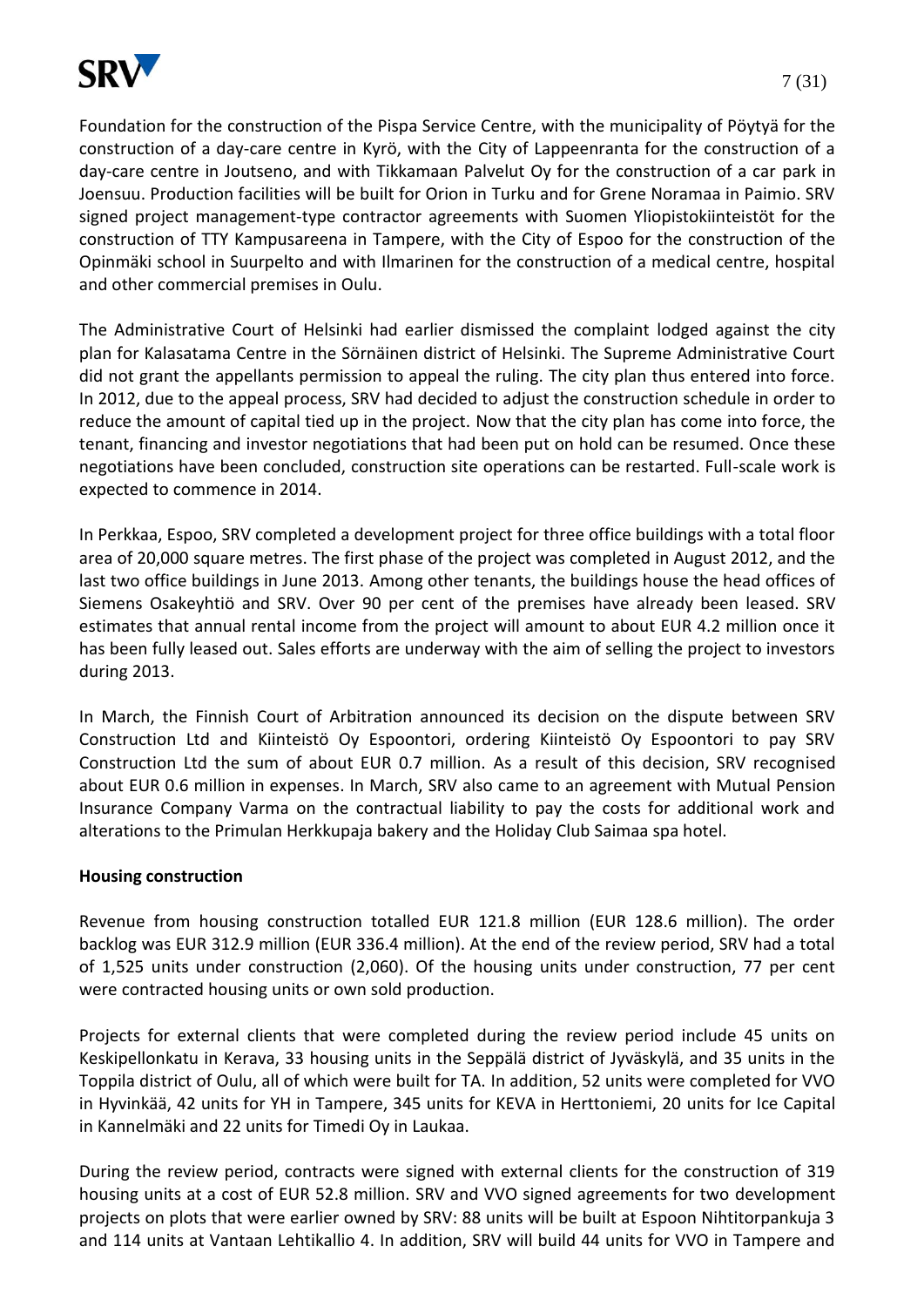

Foundation for the construction of the Pispa Service Centre, with the municipality of Pöytyä for the construction of a day-care centre in Kyrö, with the City of Lappeenranta for the construction of a day-care centre in Joutseno, and with Tikkamaan Palvelut Oy for the construction of a car park in Joensuu. Production facilities will be built for Orion in Turku and for Grene Noramaa in Paimio. SRV signed project management-type contractor agreements with Suomen Yliopistokiinteistöt for the construction of TTY Kampusareena in Tampere, with the City of Espoo for the construction of the Opinmäki school in Suurpelto and with Ilmarinen for the construction of a medical centre, hospital and other commercial premises in Oulu.

The Administrative Court of Helsinki had earlier dismissed the complaint lodged against the city plan for Kalasatama Centre in the Sörnäinen district of Helsinki. The Supreme Administrative Court did not grant the appellants permission to appeal the ruling. The city plan thus entered into force. In 2012, due to the appeal process, SRV had decided to adjust the construction schedule in order to reduce the amount of capital tied up in the project. Now that the city plan has come into force, the tenant, financing and investor negotiations that had been put on hold can be resumed. Once these negotiations have been concluded, construction site operations can be restarted. Full-scale work is expected to commence in 2014.

In Perkkaa, Espoo, SRV completed a development project for three office buildings with a total floor area of 20,000 square metres. The first phase of the project was completed in August 2012, and the last two office buildings in June 2013. Among other tenants, the buildings house the head offices of Siemens Osakeyhtiö and SRV. Over 90 per cent of the premises have already been leased. SRV estimates that annual rental income from the project will amount to about EUR 4.2 million once it has been fully leased out. Sales efforts are underway with the aim of selling the project to investors during 2013.

In March, the Finnish Court of Arbitration announced its decision on the dispute between SRV Construction Ltd and Kiinteistö Oy Espoontori, ordering Kiinteistö Oy Espoontori to pay SRV Construction Ltd the sum of about EUR 0.7 million. As a result of this decision, SRV recognised about EUR 0.6 million in expenses. In March, SRV also came to an agreement with Mutual Pension Insurance Company Varma on the contractual liability to pay the costs for additional work and alterations to the Primulan Herkkupaja bakery and the Holiday Club Saimaa spa hotel.

### **Housing construction**

Revenue from housing construction totalled EUR 121.8 million (EUR 128.6 million). The order backlog was EUR 312.9 million (EUR 336.4 million). At the end of the review period, SRV had a total of 1,525 units under construction (2,060). Of the housing units under construction, 77 per cent were contracted housing units or own sold production.

Projects for external clients that were completed during the review period include 45 units on Keskipellonkatu in Kerava, 33 housing units in the Seppälä district of Jyväskylä, and 35 units in the Toppila district of Oulu, all of which were built for TA. In addition, 52 units were completed for VVO in Hyvinkää, 42 units for YH in Tampere, 345 units for KEVA in Herttoniemi, 20 units for Ice Capital in Kannelmäki and 22 units for Timedi Oy in Laukaa.

During the review period, contracts were signed with external clients for the construction of 319 housing units at a cost of EUR 52.8 million. SRV and VVO signed agreements for two development projects on plots that were earlier owned by SRV: 88 units will be built at Espoon Nihtitorpankuja 3 and 114 units at Vantaan Lehtikallio 4. In addition, SRV will build 44 units for VVO in Tampere and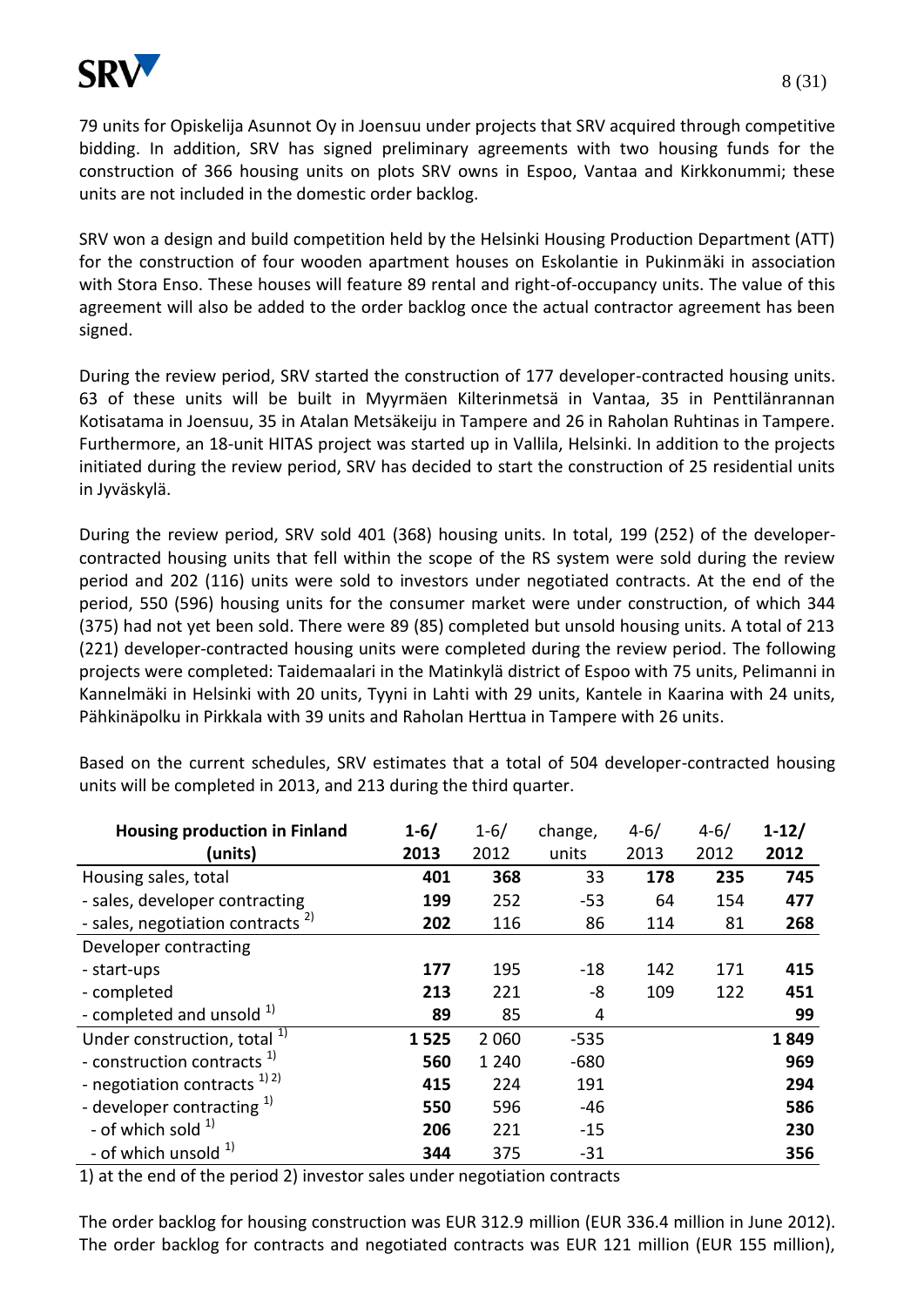

79 units for Opiskelija Asunnot Oy in Joensuu under projects that SRV acquired through competitive bidding. In addition, SRV has signed preliminary agreements with two housing funds for the construction of 366 housing units on plots SRV owns in Espoo, Vantaa and Kirkkonummi; these units are not included in the domestic order backlog.

SRV won a design and build competition held by the Helsinki Housing Production Department (ATT) for the construction of four wooden apartment houses on Eskolantie in Pukinmäki in association with Stora Enso. These houses will feature 89 rental and right-of-occupancy units. The value of this agreement will also be added to the order backlog once the actual contractor agreement has been signed.

During the review period, SRV started the construction of 177 developer-contracted housing units. 63 of these units will be built in Myyrmäen Kilterinmetsä in Vantaa, 35 in Penttilänrannan Kotisatama in Joensuu, 35 in Atalan Metsäkeiju in Tampere and 26 in Raholan Ruhtinas in Tampere. Furthermore, an 18-unit HITAS project was started up in Vallila, Helsinki. In addition to the projects initiated during the review period, SRV has decided to start the construction of 25 residential units in Jyväskylä.

During the review period, SRV sold 401 (368) housing units. In total, 199 (252) of the developercontracted housing units that fell within the scope of the RS system were sold during the review period and 202 (116) units were sold to investors under negotiated contracts. At the end of the period, 550 (596) housing units for the consumer market were under construction, of which 344 (375) had not yet been sold. There were 89 (85) completed but unsold housing units. A total of 213 (221) developer-contracted housing units were completed during the review period. The following projects were completed: Taidemaalari in the Matinkylä district of Espoo with 75 units, Pelimanni in Kannelmäki in Helsinki with 20 units, Tyyni in Lahti with 29 units, Kantele in Kaarina with 24 units, Pähkinäpolku in Pirkkala with 39 units and Raholan Herttua in Tampere with 26 units.

| <b>Housing production in Finland</b>         | $1 - 6/$ | $1 - 6/$ | change, | $4 - 6/$ | $4 - 6/$ | $1 - 12/$ |
|----------------------------------------------|----------|----------|---------|----------|----------|-----------|
| (units)                                      | 2013     | 2012     | units   | 2013     | 2012     | 2012      |
| Housing sales, total                         | 401      | 368      | 33      | 178      | 235      | 745       |
| - sales, developer contracting               | 199      | 252      | $-53$   | 64       | 154      | 477       |
| - sales, negotiation contracts <sup>2)</sup> | 202      | 116      | 86      | 114      | 81       | 268       |
| Developer contracting                        |          |          |         |          |          |           |
| - start-ups                                  | 177      | 195      | $-18$   | 142      | 171      | 415       |
| - completed                                  | 213      | 221      | -8      | 109      | 122      | 451       |
| - completed and unsold $1$                   | 89       | 85       | 4       |          |          | 99        |
| Under construction, total <sup>1)</sup>      | 1525     | 2 0 6 0  | $-535$  |          |          | 1849      |
| - construction contracts <sup>1)</sup>       | 560      | 1 2 4 0  | $-680$  |          |          | 969       |
| - negotiation contracts $^{1/2}$             | 415      | 224      | 191     |          |          | 294       |
| - developer contracting $1$                  | 550      | 596      | $-46$   |          |          | 586       |
| - of which sold $^{1}$                       | 206      | 221      | $-15$   |          |          | 230       |
| - of which unsold <sup>1)</sup>              | 344      | 375      | $-31$   |          |          | 356       |

Based on the current schedules, SRV estimates that a total of 504 developer-contracted housing units will be completed in 2013, and 213 during the third quarter.

1) at the end of the period 2) investor sales under negotiation contracts

The order backlog for housing construction was EUR 312.9 million (EUR 336.4 million in June 2012). The order backlog for contracts and negotiated contracts was EUR 121 million (EUR 155 million),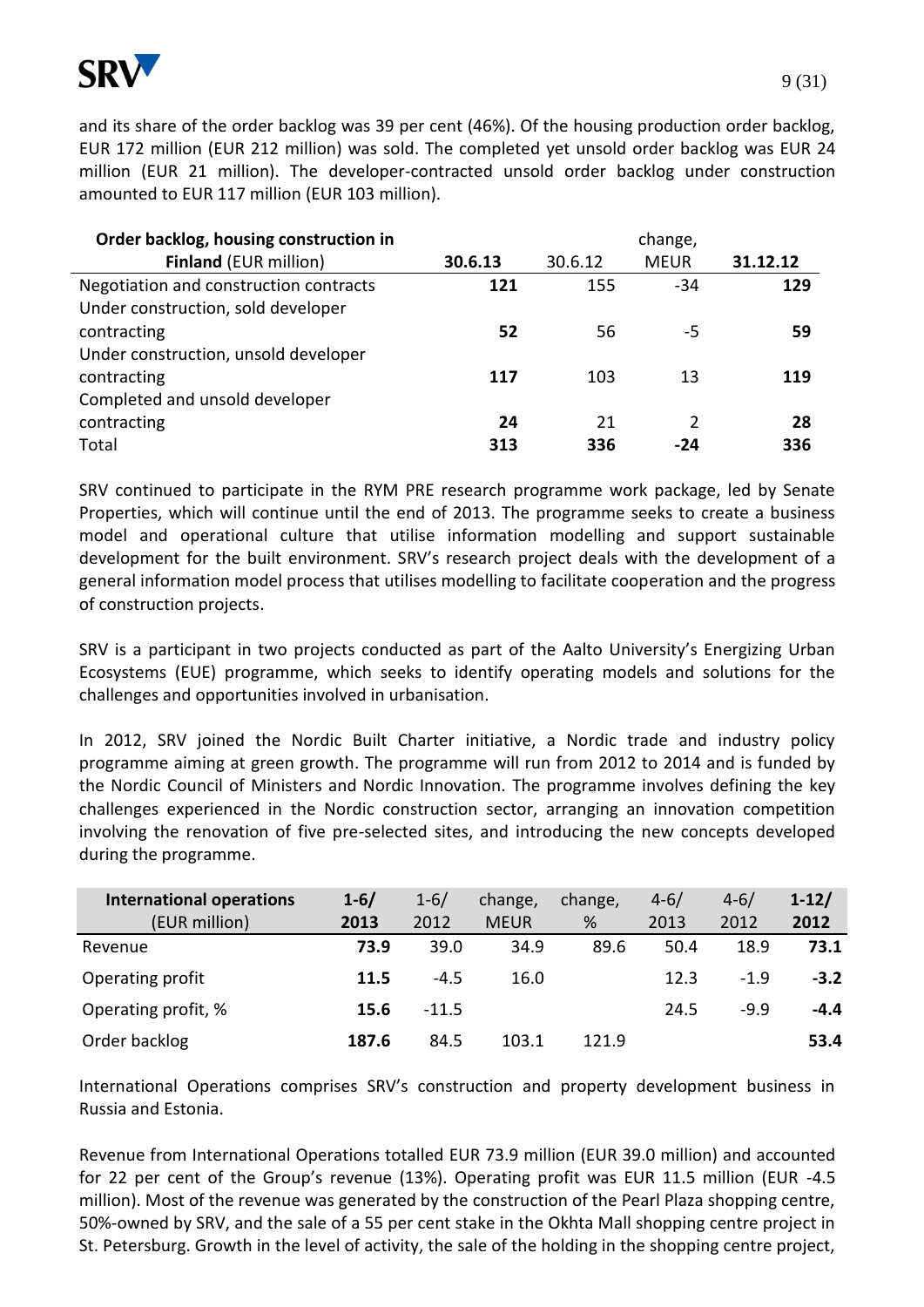

and its share of the order backlog was 39 per cent (46%). Of the housing production order backlog, EUR 172 million (EUR 212 million) was sold. The completed yet unsold order backlog was EUR 24 million (EUR 21 million). The developer-contracted unsold order backlog under construction amounted to EUR 117 million (EUR 103 million).

| Order backlog, housing construction in |         |         | change,     |          |
|----------------------------------------|---------|---------|-------------|----------|
| <b>Finland (EUR million)</b>           | 30.6.13 | 30.6.12 | <b>MEUR</b> | 31.12.12 |
| Negotiation and construction contracts | 121     | 155     | $-34$       | 129      |
| Under construction, sold developer     |         |         |             |          |
| contracting                            | 52      | 56      | -5          | 59       |
| Under construction, unsold developer   |         |         |             |          |
| contracting                            | 117     | 103     | 13          | 119      |
| Completed and unsold developer         |         |         |             |          |
| contracting                            | 24      | 21      | 2           | 28       |
| Total                                  | 313     | 336     | -24         | 336      |

SRV continued to participate in the RYM PRE research programme work package, led by Senate Properties, which will continue until the end of 2013. The programme seeks to create a business model and operational culture that utilise information modelling and support sustainable development for the built environment. SRV's research project deals with the development of a general information model process that utilises modelling to facilitate cooperation and the progress of construction projects.

SRV is a participant in two projects conducted as part of the Aalto University's Energizing Urban Ecosystems (EUE) programme, which seeks to identify operating models and solutions for the challenges and opportunities involved in urbanisation.

In 2012, SRV joined the Nordic Built Charter initiative, a Nordic trade and industry policy programme aiming at green growth. The programme will run from 2012 to 2014 and is funded by the Nordic Council of Ministers and Nordic Innovation. The programme involves defining the key challenges experienced in the Nordic construction sector, arranging an innovation competition involving the renovation of five pre-selected sites, and introducing the new concepts developed during the programme.

| <b>International operations</b> | $1 - 6/$ | $1 - 6/$ | change,     | change, | $4 - 6/$ | $4 - 6/$ | $1-12/$ |
|---------------------------------|----------|----------|-------------|---------|----------|----------|---------|
| (EUR million)                   | 2013     | 2012     | <b>MEUR</b> | %       | 2013     | 2012     | 2012    |
| Revenue                         | 73.9     | 39.0     | 34.9        | 89.6    | 50.4     | 18.9     | 73.1    |
| Operating profit                | 11.5     | $-4.5$   | 16.0        |         | 12.3     | $-1.9$   | $-3.2$  |
| Operating profit, %             | 15.6     | $-11.5$  |             |         | 24.5     | $-9.9$   | $-4.4$  |
| Order backlog                   | 187.6    | 84.5     | 103.1       | 121.9   |          |          | 53.4    |

International Operations comprises SRV's construction and property development business in Russia and Estonia.

Revenue from International Operations totalled EUR 73.9 million (EUR 39.0 million) and accounted for 22 per cent of the Group's revenue (13%). Operating profit was EUR 11.5 million (EUR -4.5 million). Most of the revenue was generated by the construction of the Pearl Plaza shopping centre, 50%-owned by SRV, and the sale of a 55 per cent stake in the Okhta Mall shopping centre project in St. Petersburg. Growth in the level of activity, the sale of the holding in the shopping centre project,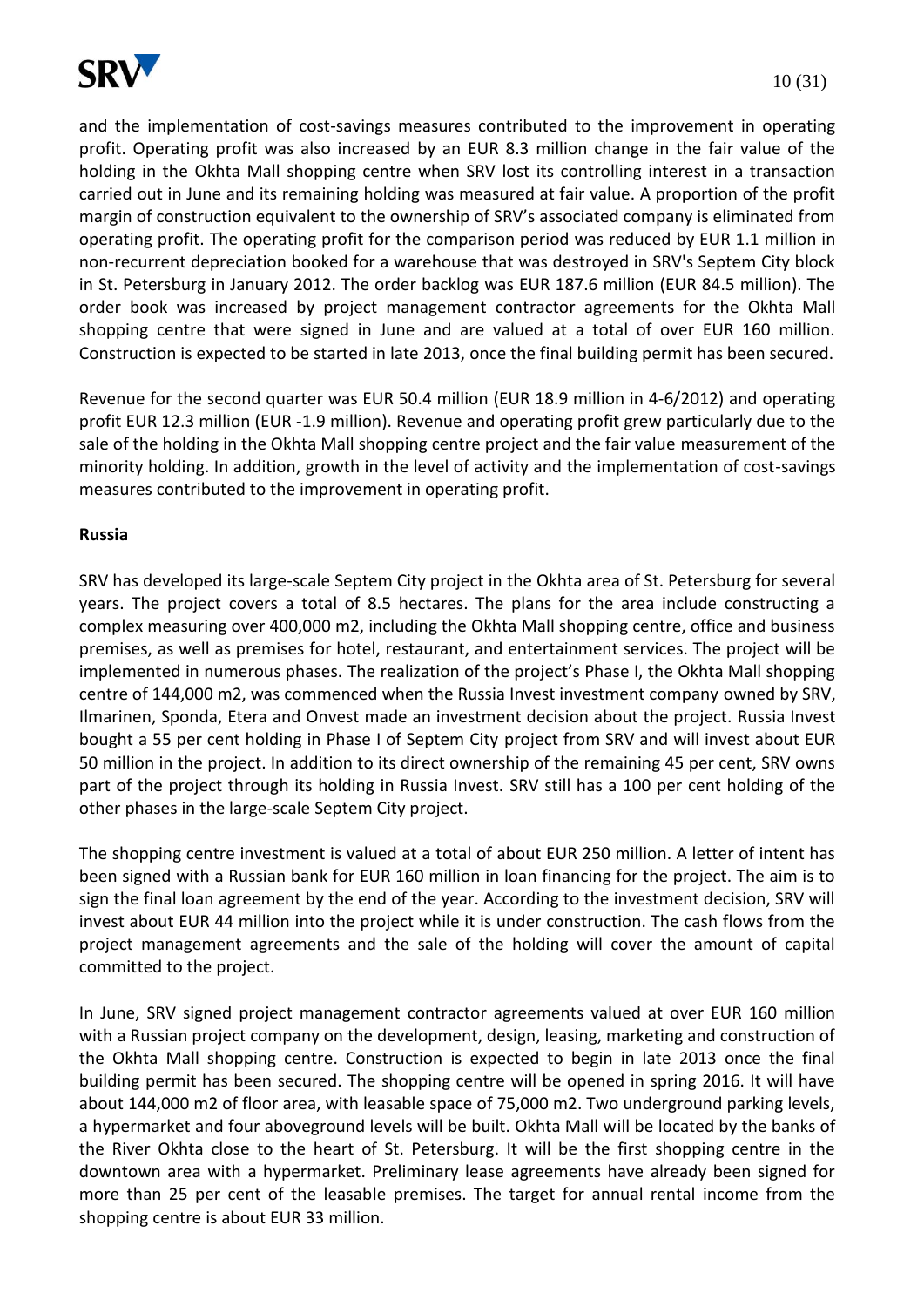

and the implementation of cost-savings measures contributed to the improvement in operating profit. Operating profit was also increased by an EUR 8.3 million change in the fair value of the holding in the Okhta Mall shopping centre when SRV lost its controlling interest in a transaction carried out in June and its remaining holding was measured at fair value. A proportion of the profit margin of construction equivalent to the ownership of SRV's associated company is eliminated from operating profit. The operating profit for the comparison period was reduced by EUR 1.1 million in non-recurrent depreciation booked for a warehouse that was destroyed in SRV's Septem City block in St. Petersburg in January 2012. The order backlog was EUR 187.6 million (EUR 84.5 million). The order book was increased by project management contractor agreements for the Okhta Mall shopping centre that were signed in June and are valued at a total of over EUR 160 million. Construction is expected to be started in late 2013, once the final building permit has been secured.

Revenue for the second quarter was EUR 50.4 million (EUR 18.9 million in 4-6/2012) and operating profit EUR 12.3 million (EUR -1.9 million). Revenue and operating profit grew particularly due to the sale of the holding in the Okhta Mall shopping centre project and the fair value measurement of the minority holding. In addition, growth in the level of activity and the implementation of cost-savings measures contributed to the improvement in operating profit.

### **Russia**

SRV has developed its large-scale Septem City project in the Okhta area of St. Petersburg for several years. The project covers a total of 8.5 hectares. The plans for the area include constructing a complex measuring over 400,000 m2, including the Okhta Mall shopping centre, office and business premises, as well as premises for hotel, restaurant, and entertainment services. The project will be implemented in numerous phases. The realization of the project's Phase I, the Okhta Mall shopping centre of 144,000 m2, was commenced when the Russia Invest investment company owned by SRV, Ilmarinen, Sponda, Etera and Onvest made an investment decision about the project. Russia Invest bought a 55 per cent holding in Phase I of Septem City project from SRV and will invest about EUR 50 million in the project. In addition to its direct ownership of the remaining 45 per cent, SRV owns part of the project through its holding in Russia Invest. SRV still has a 100 per cent holding of the other phases in the large-scale Septem City project.

The shopping centre investment is valued at a total of about EUR 250 million. A letter of intent has been signed with a Russian bank for EUR 160 million in loan financing for the project. The aim is to sign the final loan agreement by the end of the year. According to the investment decision, SRV will invest about EUR 44 million into the project while it is under construction. The cash flows from the project management agreements and the sale of the holding will cover the amount of capital committed to the project.

In June, SRV signed project management contractor agreements valued at over EUR 160 million with a Russian project company on the development, design, leasing, marketing and construction of the Okhta Mall shopping centre. Construction is expected to begin in late 2013 once the final building permit has been secured. The shopping centre will be opened in spring 2016. It will have about 144,000 m2 of floor area, with leasable space of 75,000 m2. Two underground parking levels, a hypermarket and four aboveground levels will be built. Okhta Mall will be located by the banks of the River Okhta close to the heart of St. Petersburg. It will be the first shopping centre in the downtown area with a hypermarket. Preliminary lease agreements have already been signed for more than 25 per cent of the leasable premises. The target for annual rental income from the shopping centre is about EUR 33 million.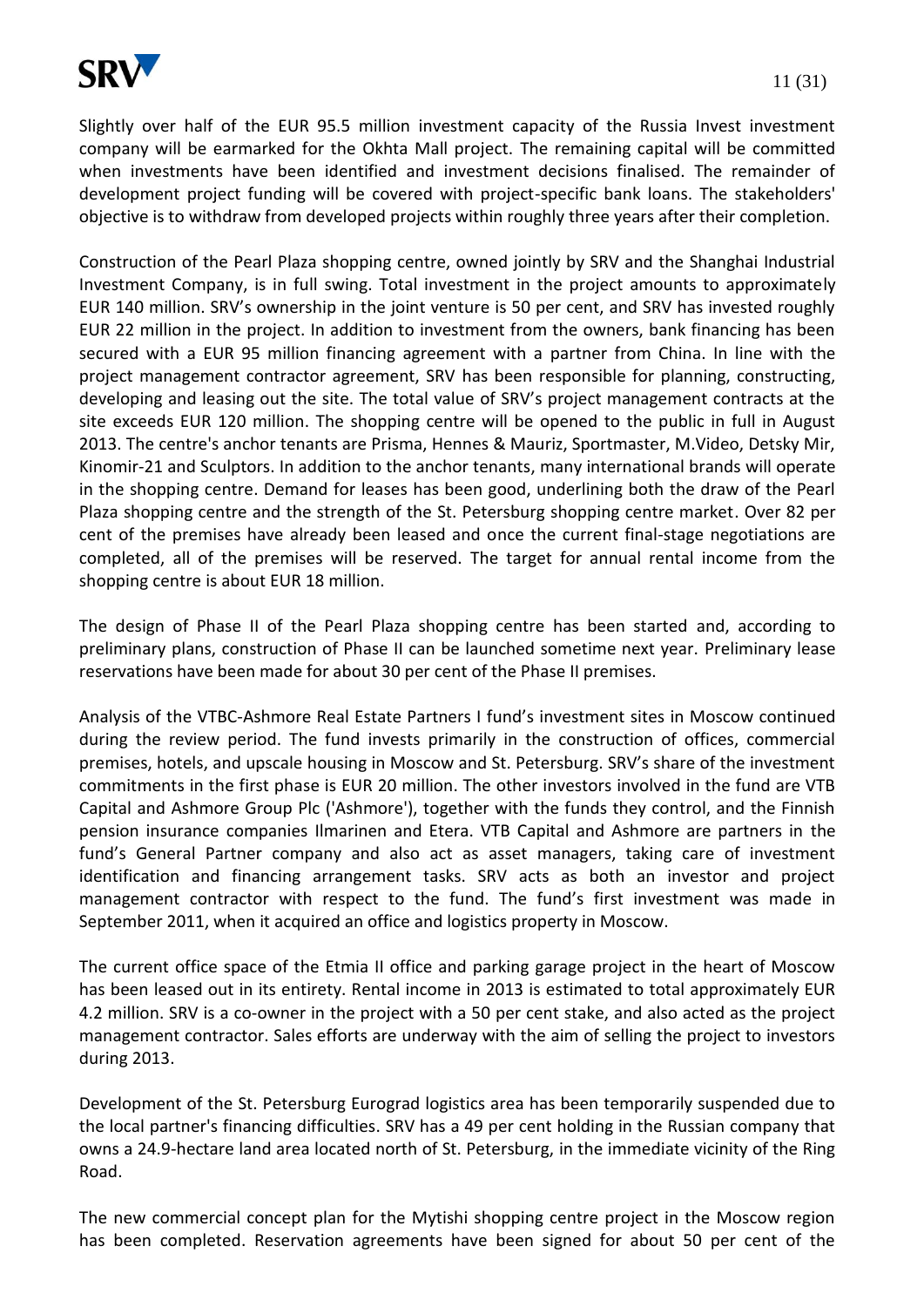Slightly over half of the EUR 95.5 million investment capacity of the Russia Invest investment company will be earmarked for the Okhta Mall project. The remaining capital will be committed when investments have been identified and investment decisions finalised. The remainder of development project funding will be covered with project-specific bank loans. The stakeholders' objective is to withdraw from developed projects within roughly three years after their completion.

Construction of the Pearl Plaza shopping centre, owned jointly by SRV and the Shanghai Industrial Investment Company, is in full swing. Total investment in the project amounts to approximately EUR 140 million. SRV's ownership in the joint venture is 50 per cent, and SRV has invested roughly EUR 22 million in the project. In addition to investment from the owners, bank financing has been secured with a EUR 95 million financing agreement with a partner from China. In line with the project management contractor agreement, SRV has been responsible for planning, constructing, developing and leasing out the site. The total value of SRV's project management contracts at the site exceeds EUR 120 million. The shopping centre will be opened to the public in full in August 2013. The centre's anchor tenants are Prisma, Hennes & Mauriz, Sportmaster, M.Video, Detsky Mir, Kinomir-21 and Sculptors. In addition to the anchor tenants, many international brands will operate in the shopping centre. Demand for leases has been good, underlining both the draw of the Pearl Plaza shopping centre and the strength of the St. Petersburg shopping centre market. Over 82 per cent of the premises have already been leased and once the current final-stage negotiations are completed, all of the premises will be reserved. The target for annual rental income from the shopping centre is about EUR 18 million.

The design of Phase II of the Pearl Plaza shopping centre has been started and, according to preliminary plans, construction of Phase II can be launched sometime next year. Preliminary lease reservations have been made for about 30 per cent of the Phase II premises.

Analysis of the VTBC-Ashmore Real Estate Partners I fund's investment sites in Moscow continued during the review period. The fund invests primarily in the construction of offices, commercial premises, hotels, and upscale housing in Moscow and St. Petersburg. SRV's share of the investment commitments in the first phase is EUR 20 million. The other investors involved in the fund are VTB Capital and Ashmore Group Plc ('Ashmore'), together with the funds they control, and the Finnish pension insurance companies Ilmarinen and Etera. VTB Capital and Ashmore are partners in the fund's General Partner company and also act as asset managers, taking care of investment identification and financing arrangement tasks. SRV acts as both an investor and project management contractor with respect to the fund. The fund's first investment was made in September 2011, when it acquired an office and logistics property in Moscow.

The current office space of the Etmia II office and parking garage project in the heart of Moscow has been leased out in its entirety. Rental income in 2013 is estimated to total approximately EUR 4.2 million. SRV is a co-owner in the project with a 50 per cent stake, and also acted as the project management contractor. Sales efforts are underway with the aim of selling the project to investors during 2013.

Development of the St. Petersburg Eurograd logistics area has been temporarily suspended due to the local partner's financing difficulties. SRV has a 49 per cent holding in the Russian company that owns a 24.9-hectare land area located north of St. Petersburg, in the immediate vicinity of the Ring Road.

The new commercial concept plan for the Mytishi shopping centre project in the Moscow region has been completed. Reservation agreements have been signed for about 50 per cent of the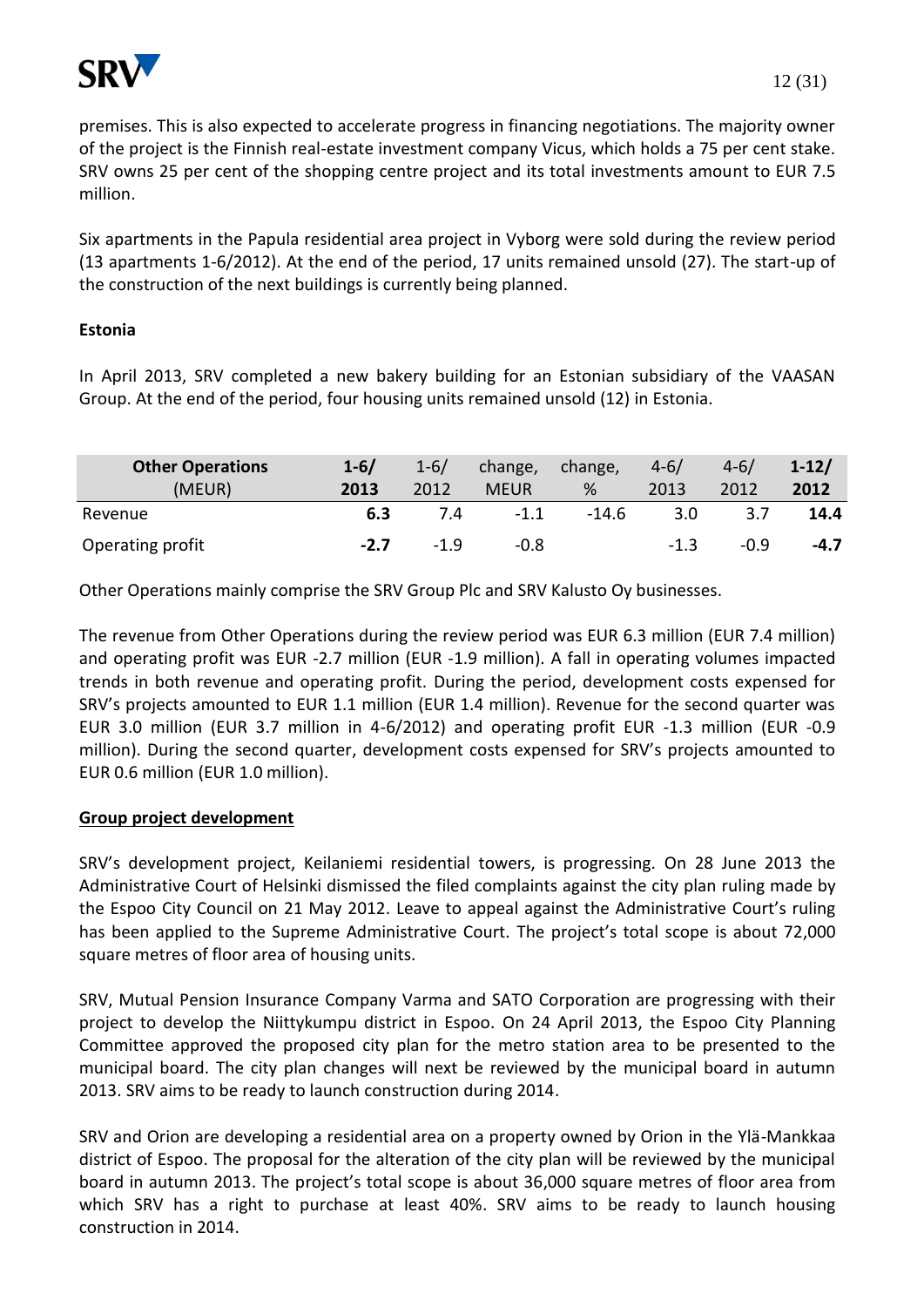

premises. This is also expected to accelerate progress in financing negotiations. The majority owner of the project is the Finnish real-estate investment company Vicus, which holds a 75 per cent stake. SRV owns 25 per cent of the shopping centre project and its total investments amount to EUR 7.5 million.

Six apartments in the Papula residential area project in Vyborg were sold during the review period (13 apartments 1-6/2012). At the end of the period, 17 units remained unsold (27). The start-up of the construction of the next buildings is currently being planned.

### **Estonia**

In April 2013, SRV completed a new bakery building for an Estonian subsidiary of the VAASAN Group. At the end of the period, four housing units remained unsold (12) in Estonia.

| <b>Other Operations</b><br>(MEUR) | $1 - 6/$<br>2013 | $1 - 6/$<br>2012 | change,<br><b>MEUR</b> | change,<br>% | $4 - 6/$<br>2013 | $4 - 6/$<br>2012 | $1 - 12/$<br>2012 |
|-----------------------------------|------------------|------------------|------------------------|--------------|------------------|------------------|-------------------|
| Revenue                           | 6.3              | 7.4              | $-1.1$                 | $-14.6$      | 3.0              |                  | 14.4              |
| Operating profit                  | $-2.7$           | $-1.9$           | $-0.8$                 |              | $-1.3$           | $-0.9$           | $-4.7$            |

Other Operations mainly comprise the SRV Group Plc and SRV Kalusto Oy businesses.

The revenue from Other Operations during the review period was EUR 6.3 million (EUR 7.4 million) and operating profit was EUR -2.7 million (EUR -1.9 million). A fall in operating volumes impacted trends in both revenue and operating profit. During the period, development costs expensed for SRV's projects amounted to EUR 1.1 million (EUR 1.4 million). Revenue for the second quarter was EUR 3.0 million (EUR 3.7 million in 4-6/2012) and operating profit EUR -1.3 million (EUR -0.9 million). During the second quarter, development costs expensed for SRV's projects amounted to EUR 0.6 million (EUR 1.0 million).

### **Group project development**

SRV's development project, Keilaniemi residential towers, is progressing. On 28 June 2013 the Administrative Court of Helsinki dismissed the filed complaints against the city plan ruling made by the Espoo City Council on 21 May 2012. Leave to appeal against the Administrative Court's ruling has been applied to the Supreme Administrative Court. The project's total scope is about 72,000 square metres of floor area of housing units.

SRV, Mutual Pension Insurance Company Varma and SATO Corporation are progressing with their project to develop the Niittykumpu district in Espoo. On 24 April 2013, the Espoo City Planning Committee approved the proposed city plan for the metro station area to be presented to the municipal board. The city plan changes will next be reviewed by the municipal board in autumn 2013. SRV aims to be ready to launch construction during 2014.

SRV and Orion are developing a residential area on a property owned by Orion in the Ylä-Mankkaa district of Espoo. The proposal for the alteration of the city plan will be reviewed by the municipal board in autumn 2013. The project's total scope is about 36,000 square metres of floor area from which SRV has a right to purchase at least 40%. SRV aims to be ready to launch housing construction in 2014.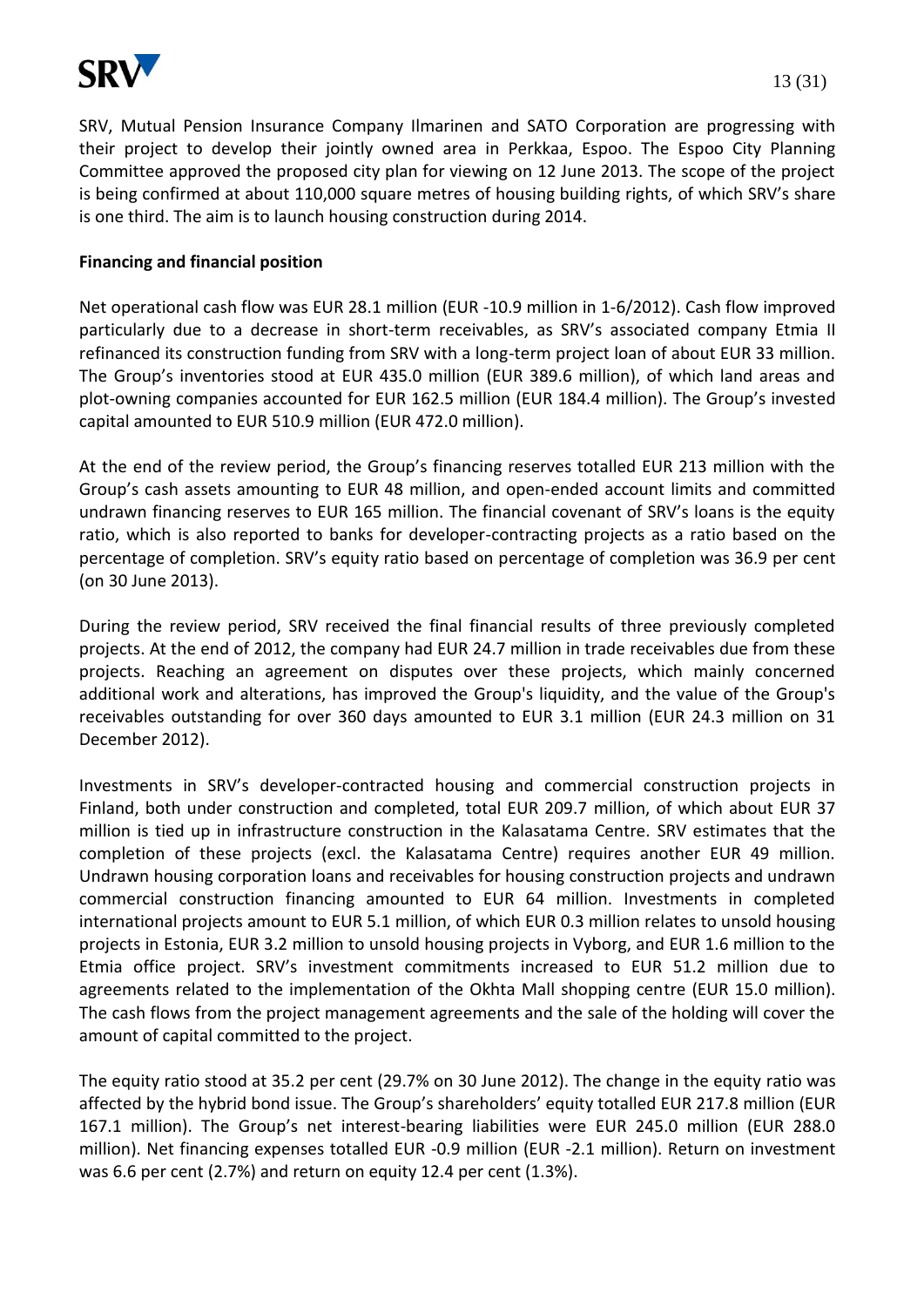

SRV, Mutual Pension Insurance Company Ilmarinen and SATO Corporation are progressing with their project to develop their jointly owned area in Perkkaa, Espoo. The Espoo City Planning Committee approved the proposed city plan for viewing on 12 June 2013. The scope of the project is being confirmed at about 110,000 square metres of housing building rights, of which SRV's share is one third. The aim is to launch housing construction during 2014.

### **Financing and financial position**

Net operational cash flow was EUR 28.1 million (EUR -10.9 million in 1-6/2012). Cash flow improved particularly due to a decrease in short-term receivables, as SRV's associated company Etmia II refinanced its construction funding from SRV with a long-term project loan of about EUR 33 million. The Group's inventories stood at EUR 435.0 million (EUR 389.6 million), of which land areas and plot-owning companies accounted for EUR 162.5 million (EUR 184.4 million). The Group's invested capital amounted to EUR 510.9 million (EUR 472.0 million).

At the end of the review period, the Group's financing reserves totalled EUR 213 million with the Group's cash assets amounting to EUR 48 million, and open-ended account limits and committed undrawn financing reserves to EUR 165 million. The financial covenant of SRV's loans is the equity ratio, which is also reported to banks for developer-contracting projects as a ratio based on the percentage of completion. SRV's equity ratio based on percentage of completion was 36.9 per cent (on 30 June 2013).

During the review period, SRV received the final financial results of three previously completed projects. At the end of 2012, the company had EUR 24.7 million in trade receivables due from these projects. Reaching an agreement on disputes over these projects, which mainly concerned additional work and alterations, has improved the Group's liquidity, and the value of the Group's receivables outstanding for over 360 days amounted to EUR 3.1 million (EUR 24.3 million on 31 December 2012).

Investments in SRV's developer-contracted housing and commercial construction projects in Finland, both under construction and completed, total EUR 209.7 million, of which about EUR 37 million is tied up in infrastructure construction in the Kalasatama Centre. SRV estimates that the completion of these projects (excl. the Kalasatama Centre) requires another EUR 49 million. Undrawn housing corporation loans and receivables for housing construction projects and undrawn commercial construction financing amounted to EUR 64 million. Investments in completed international projects amount to EUR 5.1 million, of which EUR 0.3 million relates to unsold housing projects in Estonia, EUR 3.2 million to unsold housing projects in Vyborg, and EUR 1.6 million to the Etmia office project. SRV's investment commitments increased to EUR 51.2 million due to agreements related to the implementation of the Okhta Mall shopping centre (EUR 15.0 million). The cash flows from the project management agreements and the sale of the holding will cover the amount of capital committed to the project.

The equity ratio stood at 35.2 per cent (29.7% on 30 June 2012). The change in the equity ratio was affected by the hybrid bond issue. The Group's shareholders' equity totalled EUR 217.8 million (EUR 167.1 million). The Group's net interest-bearing liabilities were EUR 245.0 million (EUR 288.0 million). Net financing expenses totalled EUR -0.9 million (EUR -2.1 million). Return on investment was 6.6 per cent (2.7%) and return on equity 12.4 per cent (1.3%).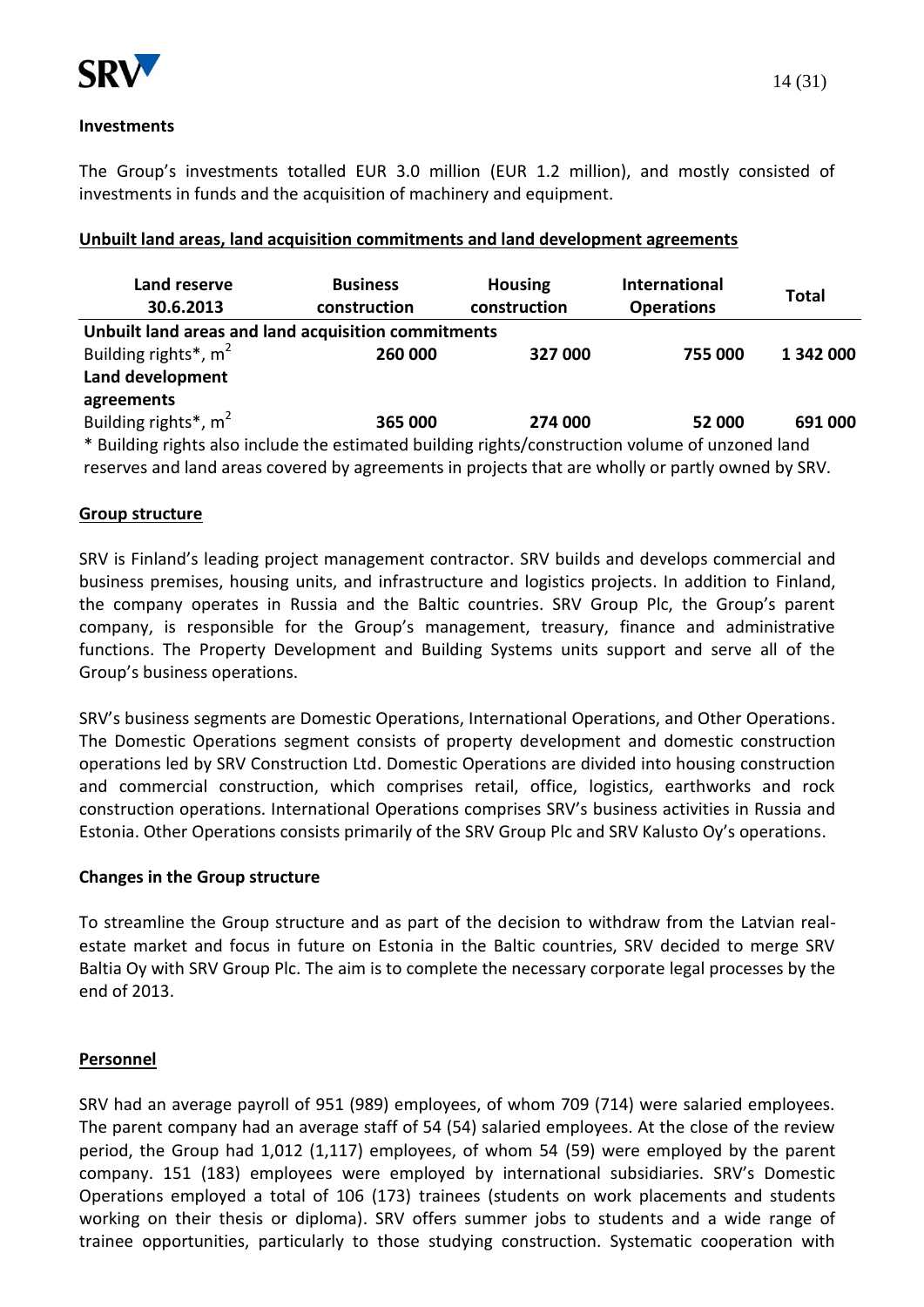

The Group's investments totalled EUR 3.0 million (EUR 1.2 million), and mostly consisted of investments in funds and the acquisition of machinery and equipment.

| Land reserve<br>30.6.2013                                                                      | <b>Business</b><br>construction | <b>Housing</b><br>construction | <b>International</b><br><b>Operations</b> | <b>Total</b> |
|------------------------------------------------------------------------------------------------|---------------------------------|--------------------------------|-------------------------------------------|--------------|
| Unbuilt land areas and land acquisition commitments                                            |                                 |                                |                                           |              |
| Building rights <sup>*</sup> , m <sup>2</sup>                                                  | 260 000                         | 327 000                        | 755 000                                   | 1 342 000    |
| Land development                                                                               |                                 |                                |                                           |              |
| agreements                                                                                     |                                 |                                |                                           |              |
| Building rights*, m <sup>2</sup>                                                               | 365 000                         | 274 000                        | 52 000                                    | 691 000      |
| Ruilding rights also include the estimated building rights/construction volume of unzoned land |                                 |                                |                                           |              |

### **Unbuilt land areas, land acquisition commitments and land development agreements**

Building rights also include the estimated building rights/construction volume of unzoned land reserves and land areas covered by agreements in projects that are wholly or partly owned by SRV.

### **Group structure**

SRV is Finland's leading project management contractor. SRV builds and develops commercial and business premises, housing units, and infrastructure and logistics projects. In addition to Finland, the company operates in Russia and the Baltic countries. SRV Group Plc, the Group's parent company, is responsible for the Group's management, treasury, finance and administrative functions. The Property Development and Building Systems units support and serve all of the Group's business operations.

SRV's business segments are Domestic Operations, International Operations, and Other Operations. The Domestic Operations segment consists of property development and domestic construction operations led by SRV Construction Ltd. Domestic Operations are divided into housing construction and commercial construction, which comprises retail, office, logistics, earthworks and rock construction operations. International Operations comprises SRV's business activities in Russia and Estonia. Other Operations consists primarily of the SRV Group Plc and SRV Kalusto Oy's operations.

### **Changes in the Group structure**

To streamline the Group structure and as part of the decision to withdraw from the Latvian realestate market and focus in future on Estonia in the Baltic countries, SRV decided to merge SRV Baltia Oy with SRV Group Plc. The aim is to complete the necessary corporate legal processes by the end of 2013.

### **Personnel**

SRV had an average payroll of 951 (989) employees, of whom 709 (714) were salaried employees. The parent company had an average staff of 54 (54) salaried employees. At the close of the review period, the Group had 1,012 (1,117) employees, of whom 54 (59) were employed by the parent company. 151 (183) employees were employed by international subsidiaries. SRV's Domestic Operations employed a total of 106 (173) trainees (students on work placements and students working on their thesis or diploma). SRV offers summer jobs to students and a wide range of trainee opportunities, particularly to those studying construction. Systematic cooperation with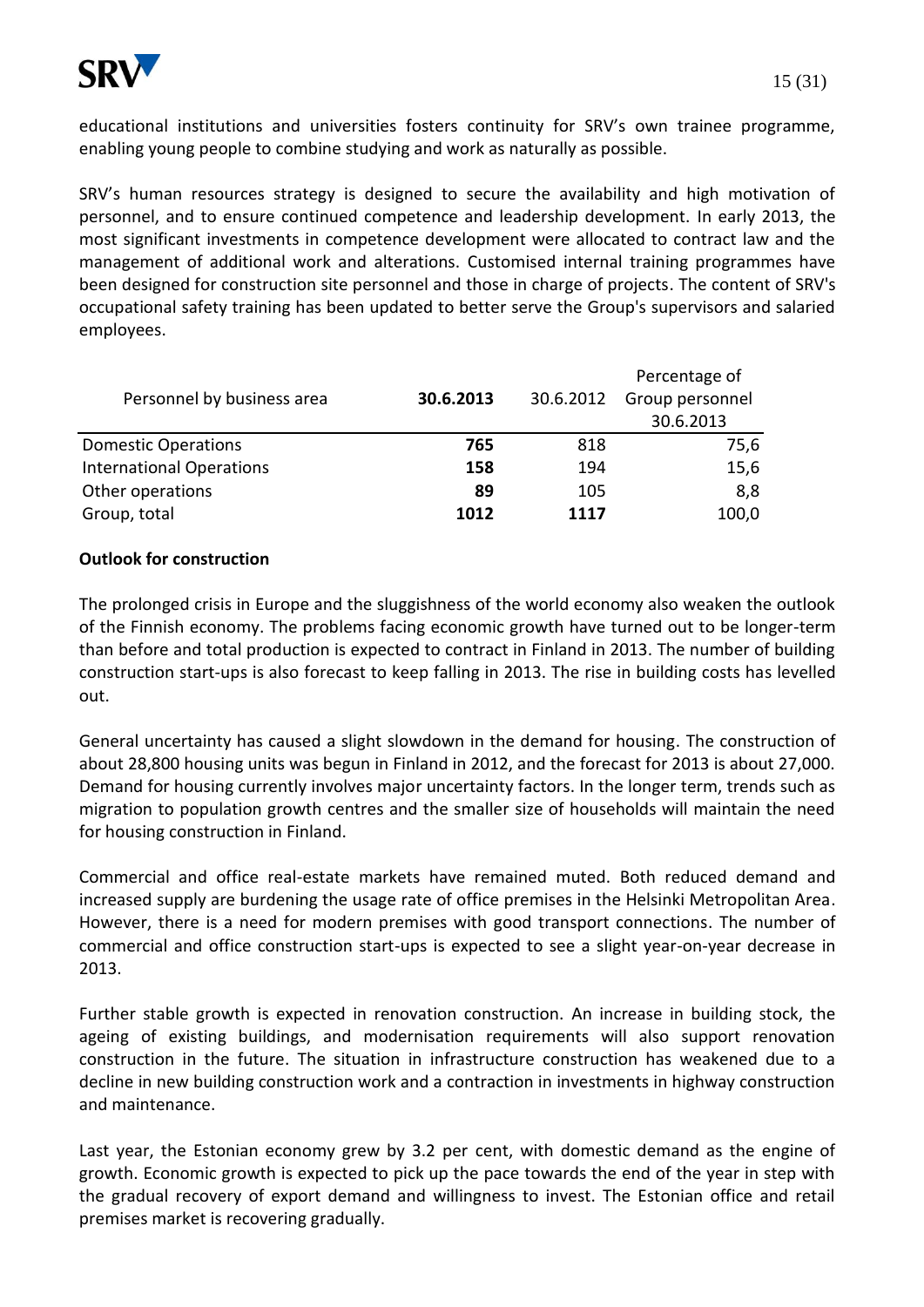

15 (31)

educational institutions and universities fosters continuity for SRV's own trainee programme, enabling young people to combine studying and work as naturally as possible.

SRV's human resources strategy is designed to secure the availability and high motivation of personnel, and to ensure continued competence and leadership development. In early 2013, the most significant investments in competence development were allocated to contract law and the management of additional work and alterations. Customised internal training programmes have been designed for construction site personnel and those in charge of projects. The content of SRV's occupational safety training has been updated to better serve the Group's supervisors and salaried employees.

|                                 |           |           | Percentage of   |
|---------------------------------|-----------|-----------|-----------------|
| Personnel by business area      | 30.6.2013 | 30.6.2012 | Group personnel |
|                                 |           |           | 30.6.2013       |
| <b>Domestic Operations</b>      | 765       | 818       | 75,6            |
| <b>International Operations</b> | 158       | 194       | 15,6            |
| Other operations                | 89        | 105       | 8,8             |
| Group, total                    | 1012      | 1117      | 100,0           |

### **Outlook for construction**

The prolonged crisis in Europe and the sluggishness of the world economy also weaken the outlook of the Finnish economy. The problems facing economic growth have turned out to be longer-term than before and total production is expected to contract in Finland in 2013. The number of building construction start-ups is also forecast to keep falling in 2013. The rise in building costs has levelled out.

General uncertainty has caused a slight slowdown in the demand for housing. The construction of about 28,800 housing units was begun in Finland in 2012, and the forecast for 2013 is about 27,000. Demand for housing currently involves major uncertainty factors. In the longer term, trends such as migration to population growth centres and the smaller size of households will maintain the need for housing construction in Finland.

Commercial and office real-estate markets have remained muted. Both reduced demand and increased supply are burdening the usage rate of office premises in the Helsinki Metropolitan Area. However, there is a need for modern premises with good transport connections. The number of commercial and office construction start-ups is expected to see a slight year-on-year decrease in 2013.

Further stable growth is expected in renovation construction. An increase in building stock, the ageing of existing buildings, and modernisation requirements will also support renovation construction in the future. The situation in infrastructure construction has weakened due to a decline in new building construction work and a contraction in investments in highway construction and maintenance.

Last year, the Estonian economy grew by 3.2 per cent, with domestic demand as the engine of growth. Economic growth is expected to pick up the pace towards the end of the year in step with the gradual recovery of export demand and willingness to invest. The Estonian office and retail premises market is recovering gradually.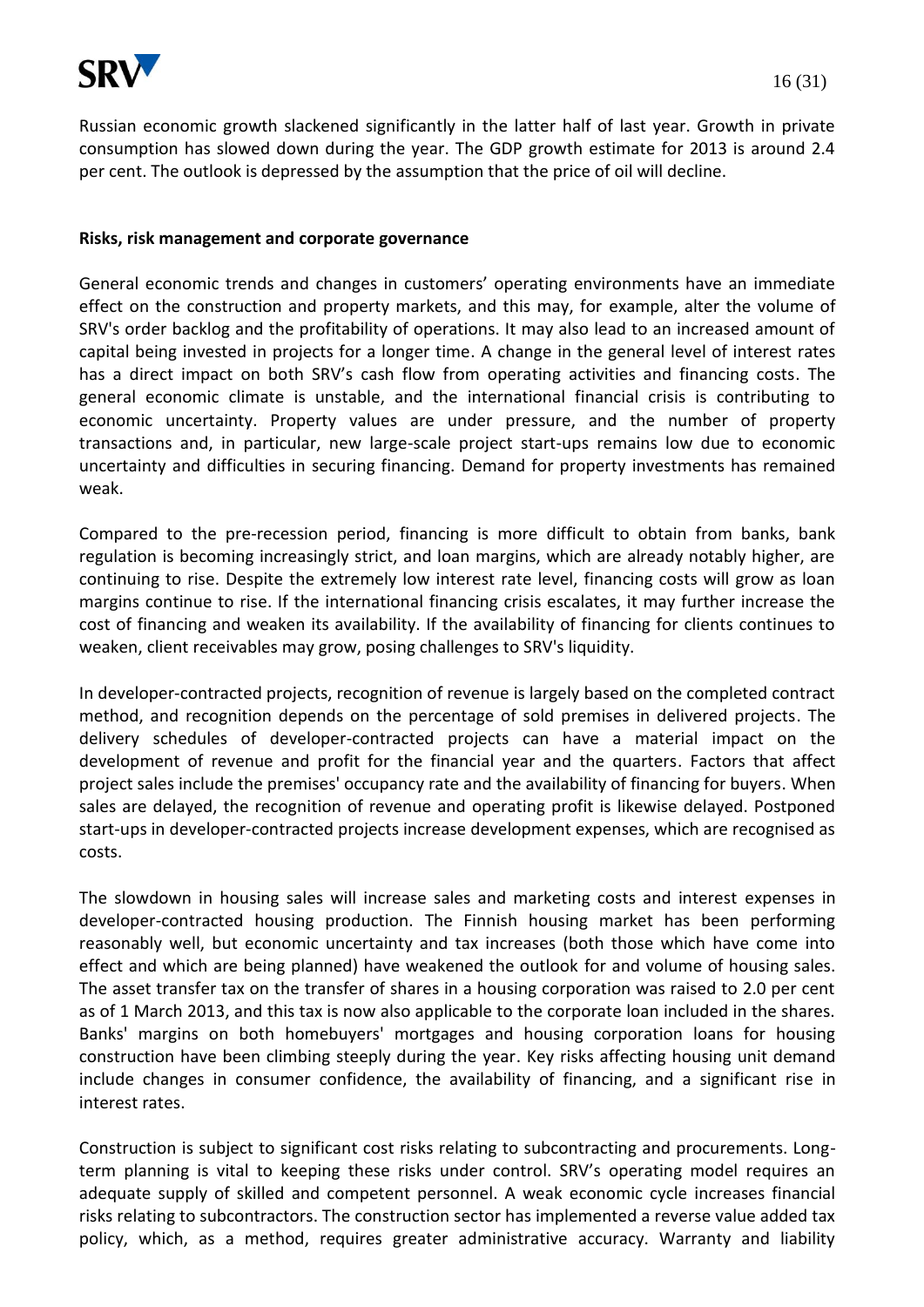

Russian economic growth slackened significantly in the latter half of last year. Growth in private consumption has slowed down during the year. The GDP growth estimate for 2013 is around 2.4 per cent. The outlook is depressed by the assumption that the price of oil will decline.

#### **Risks, risk management and corporate governance**

General economic trends and changes in customers' operating environments have an immediate effect on the construction and property markets, and this may, for example, alter the volume of SRV's order backlog and the profitability of operations. It may also lead to an increased amount of capital being invested in projects for a longer time. A change in the general level of interest rates has a direct impact on both SRV's cash flow from operating activities and financing costs. The general economic climate is unstable, and the international financial crisis is contributing to economic uncertainty. Property values are under pressure, and the number of property transactions and, in particular, new large-scale project start-ups remains low due to economic uncertainty and difficulties in securing financing. Demand for property investments has remained weak.

Compared to the pre-recession period, financing is more difficult to obtain from banks, bank regulation is becoming increasingly strict, and loan margins, which are already notably higher, are continuing to rise. Despite the extremely low interest rate level, financing costs will grow as loan margins continue to rise. If the international financing crisis escalates, it may further increase the cost of financing and weaken its availability. If the availability of financing for clients continues to weaken, client receivables may grow, posing challenges to SRV's liquidity.

In developer-contracted projects, recognition of revenue is largely based on the completed contract method, and recognition depends on the percentage of sold premises in delivered projects. The delivery schedules of developer-contracted projects can have a material impact on the development of revenue and profit for the financial year and the quarters. Factors that affect project sales include the premises' occupancy rate and the availability of financing for buyers. When sales are delayed, the recognition of revenue and operating profit is likewise delayed. Postponed start-ups in developer-contracted projects increase development expenses, which are recognised as costs.

The slowdown in housing sales will increase sales and marketing costs and interest expenses in developer-contracted housing production. The Finnish housing market has been performing reasonably well, but economic uncertainty and tax increases (both those which have come into effect and which are being planned) have weakened the outlook for and volume of housing sales. The asset transfer tax on the transfer of shares in a housing corporation was raised to 2.0 per cent as of 1 March 2013, and this tax is now also applicable to the corporate loan included in the shares. Banks' margins on both homebuyers' mortgages and housing corporation loans for housing construction have been climbing steeply during the year. Key risks affecting housing unit demand include changes in consumer confidence, the availability of financing, and a significant rise in interest rates.

Construction is subject to significant cost risks relating to subcontracting and procurements. Longterm planning is vital to keeping these risks under control. SRV's operating model requires an adequate supply of skilled and competent personnel. A weak economic cycle increases financial risks relating to subcontractors. The construction sector has implemented a reverse value added tax policy, which, as a method, requires greater administrative accuracy. Warranty and liability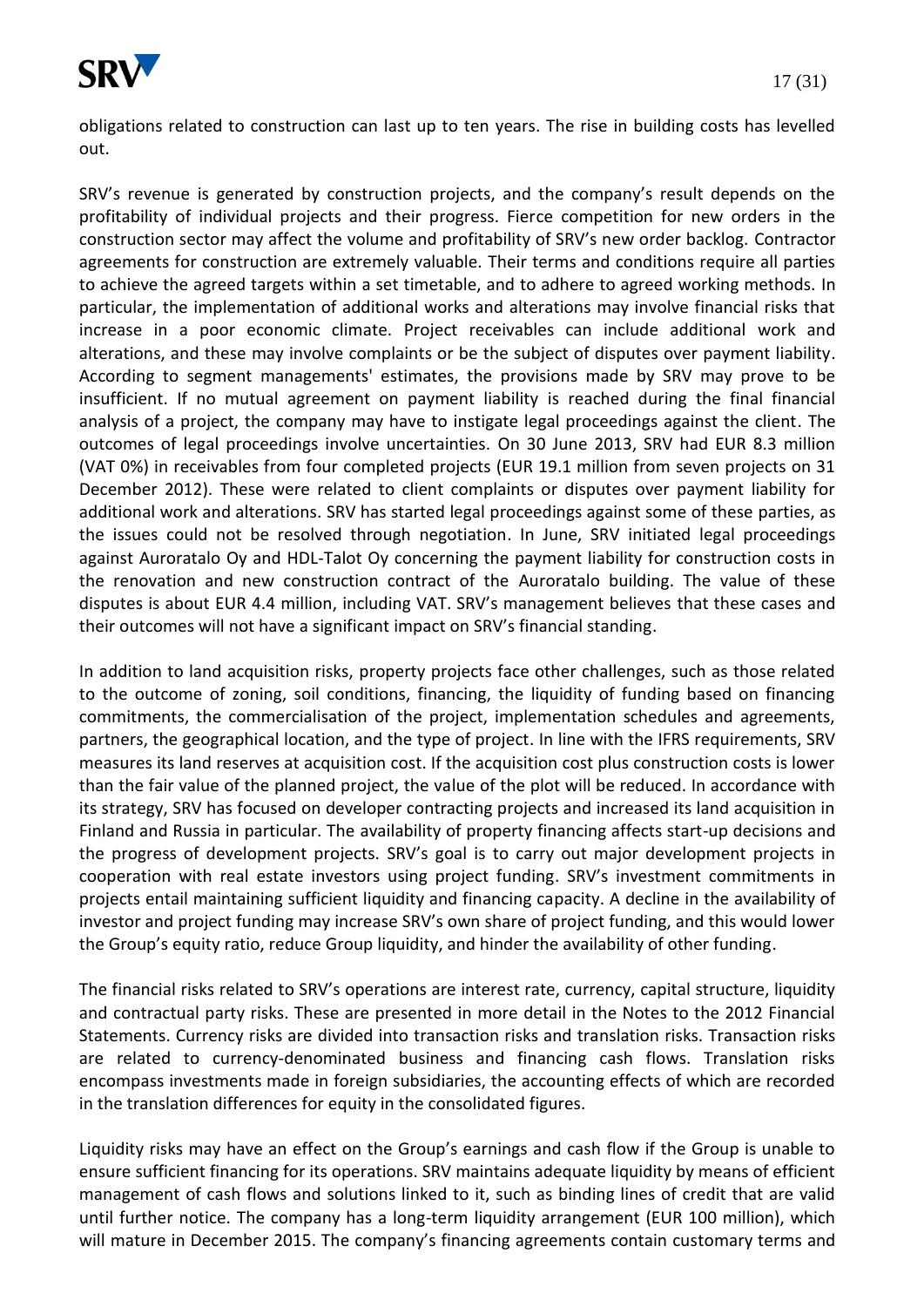

obligations related to construction can last up to ten years. The rise in building costs has levelled out.

SRV's revenue is generated by construction projects, and the company's result depends on the profitability of individual projects and their progress. Fierce competition for new orders in the construction sector may affect the volume and profitability of SRV's new order backlog. Contractor agreements for construction are extremely valuable. Their terms and conditions require all parties to achieve the agreed targets within a set timetable, and to adhere to agreed working methods. In particular, the implementation of additional works and alterations may involve financial risks that increase in a poor economic climate. Project receivables can include additional work and alterations, and these may involve complaints or be the subject of disputes over payment liability. According to segment managements' estimates, the provisions made by SRV may prove to be insufficient. If no mutual agreement on payment liability is reached during the final financial analysis of a project, the company may have to instigate legal proceedings against the client. The outcomes of legal proceedings involve uncertainties. On 30 June 2013, SRV had EUR 8.3 million (VAT 0%) in receivables from four completed projects (EUR 19.1 million from seven projects on 31 December 2012). These were related to client complaints or disputes over payment liability for additional work and alterations. SRV has started legal proceedings against some of these parties, as the issues could not be resolved through negotiation. In June, SRV initiated legal proceedings against Auroratalo Oy and HDL-Talot Oy concerning the payment liability for construction costs in the renovation and new construction contract of the Auroratalo building. The value of these disputes is about EUR 4.4 million, including VAT. SRV's management believes that these cases and their outcomes will not have a significant impact on SRV's financial standing.

In addition to land acquisition risks, property projects face other challenges, such as those related to the outcome of zoning, soil conditions, financing, the liquidity of funding based on financing commitments, the commercialisation of the project, implementation schedules and agreements, partners, the geographical location, and the type of project. In line with the IFRS requirements, SRV measures its land reserves at acquisition cost. If the acquisition cost plus construction costs is lower than the fair value of the planned project, the value of the plot will be reduced. In accordance with its strategy, SRV has focused on developer contracting projects and increased its land acquisition in Finland and Russia in particular. The availability of property financing affects start-up decisions and the progress of development projects. SRV's goal is to carry out major development projects in cooperation with real estate investors using project funding. SRV's investment commitments in projects entail maintaining sufficient liquidity and financing capacity. A decline in the availability of investor and project funding may increase SRV's own share of project funding, and this would lower the Group's equity ratio, reduce Group liquidity, and hinder the availability of other funding.

The financial risks related to SRV's operations are interest rate, currency, capital structure, liquidity and contractual party risks. These are presented in more detail in the Notes to the 2012 Financial Statements. Currency risks are divided into transaction risks and translation risks. Transaction risks are related to currency-denominated business and financing cash flows. Translation risks encompass investments made in foreign subsidiaries, the accounting effects of which are recorded in the translation differences for equity in the consolidated figures.

Liquidity risks may have an effect on the Group's earnings and cash flow if the Group is unable to ensure sufficient financing for its operations. SRV maintains adequate liquidity by means of efficient management of cash flows and solutions linked to it, such as binding lines of credit that are valid until further notice. The company has a long-term liquidity arrangement (EUR 100 million), which will mature in December 2015. The company's financing agreements contain customary terms and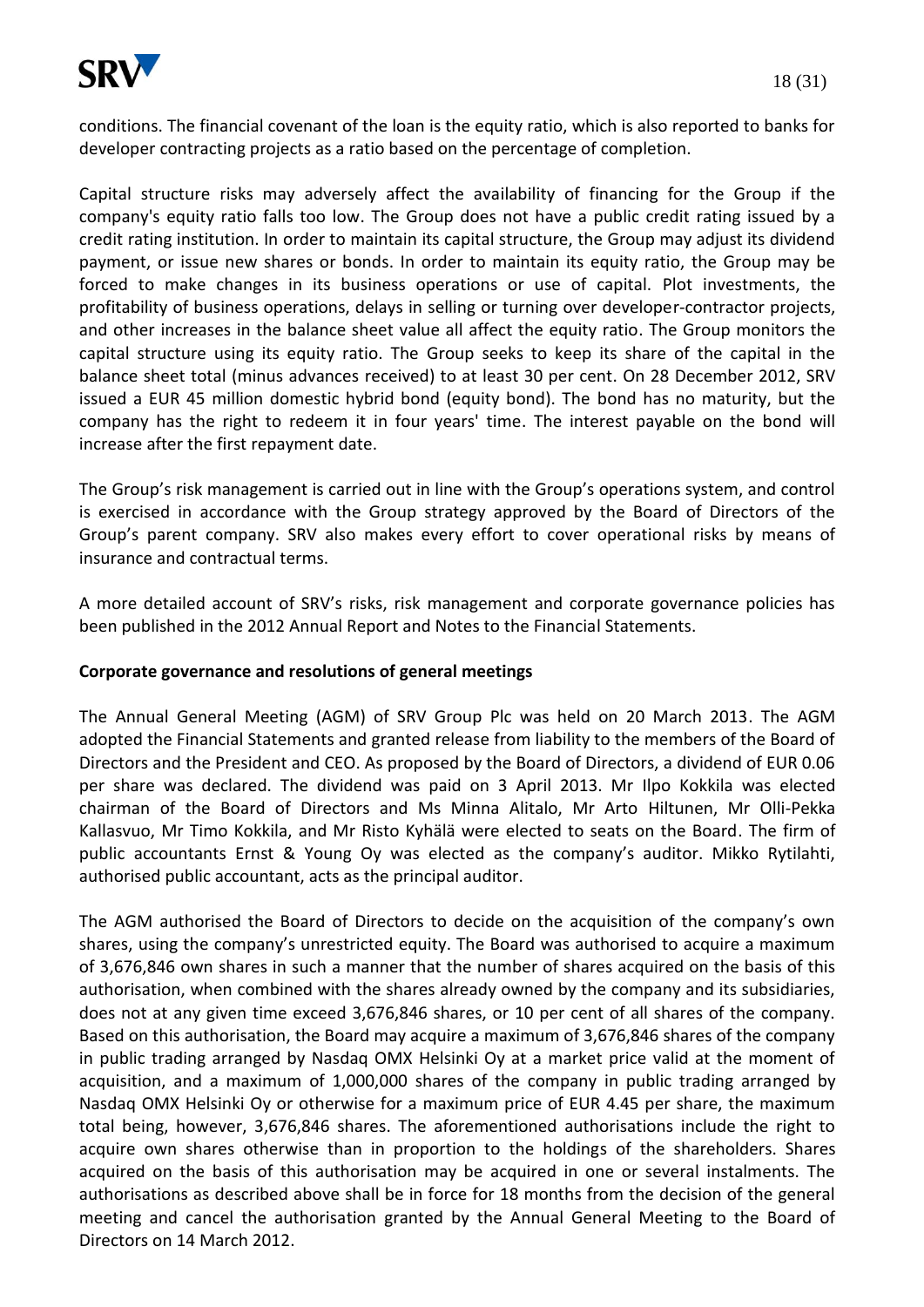

Capital structure risks may adversely affect the availability of financing for the Group if the company's equity ratio falls too low. The Group does not have a public credit rating issued by a credit rating institution. In order to maintain its capital structure, the Group may adjust its dividend payment, or issue new shares or bonds. In order to maintain its equity ratio, the Group may be forced to make changes in its business operations or use of capital. Plot investments, the profitability of business operations, delays in selling or turning over developer-contractor projects, and other increases in the balance sheet value all affect the equity ratio. The Group monitors the capital structure using its equity ratio. The Group seeks to keep its share of the capital in the balance sheet total (minus advances received) to at least 30 per cent. On 28 December 2012, SRV issued a EUR 45 million domestic hybrid bond (equity bond). The bond has no maturity, but the company has the right to redeem it in four years' time. The interest payable on the bond will increase after the first repayment date.

The Group's risk management is carried out in line with the Group's operations system, and control is exercised in accordance with the Group strategy approved by the Board of Directors of the Group's parent company. SRV also makes every effort to cover operational risks by means of insurance and contractual terms.

A more detailed account of SRV's risks, risk management and corporate governance policies has been published in the 2012 Annual Report and Notes to the Financial Statements.

## **Corporate governance and resolutions of general meetings**

The Annual General Meeting (AGM) of SRV Group Plc was held on 20 March 2013. The AGM adopted the Financial Statements and granted release from liability to the members of the Board of Directors and the President and CEO. As proposed by the Board of Directors, a dividend of EUR 0.06 per share was declared. The dividend was paid on 3 April 2013. Mr Ilpo Kokkila was elected chairman of the Board of Directors and Ms Minna Alitalo, Mr Arto Hiltunen, Mr Olli-Pekka Kallasvuo, Mr Timo Kokkila, and Mr Risto Kyhälä were elected to seats on the Board. The firm of public accountants Ernst & Young Oy was elected as the company's auditor. Mikko Rytilahti, authorised public accountant, acts as the principal auditor.

The AGM authorised the Board of Directors to decide on the acquisition of the company's own shares, using the company's unrestricted equity. The Board was authorised to acquire a maximum of 3,676,846 own shares in such a manner that the number of shares acquired on the basis of this authorisation, when combined with the shares already owned by the company and its subsidiaries, does not at any given time exceed 3,676,846 shares, or 10 per cent of all shares of the company. Based on this authorisation, the Board may acquire a maximum of 3,676,846 shares of the company in public trading arranged by Nasdaq OMX Helsinki Oy at a market price valid at the moment of acquisition, and a maximum of 1,000,000 shares of the company in public trading arranged by Nasdaq OMX Helsinki Oy or otherwise for a maximum price of EUR 4.45 per share, the maximum total being, however, 3,676,846 shares. The aforementioned authorisations include the right to acquire own shares otherwise than in proportion to the holdings of the shareholders. Shares acquired on the basis of this authorisation may be acquired in one or several instalments. The authorisations as described above shall be in force for 18 months from the decision of the general meeting and cancel the authorisation granted by the Annual General Meeting to the Board of Directors on 14 March 2012.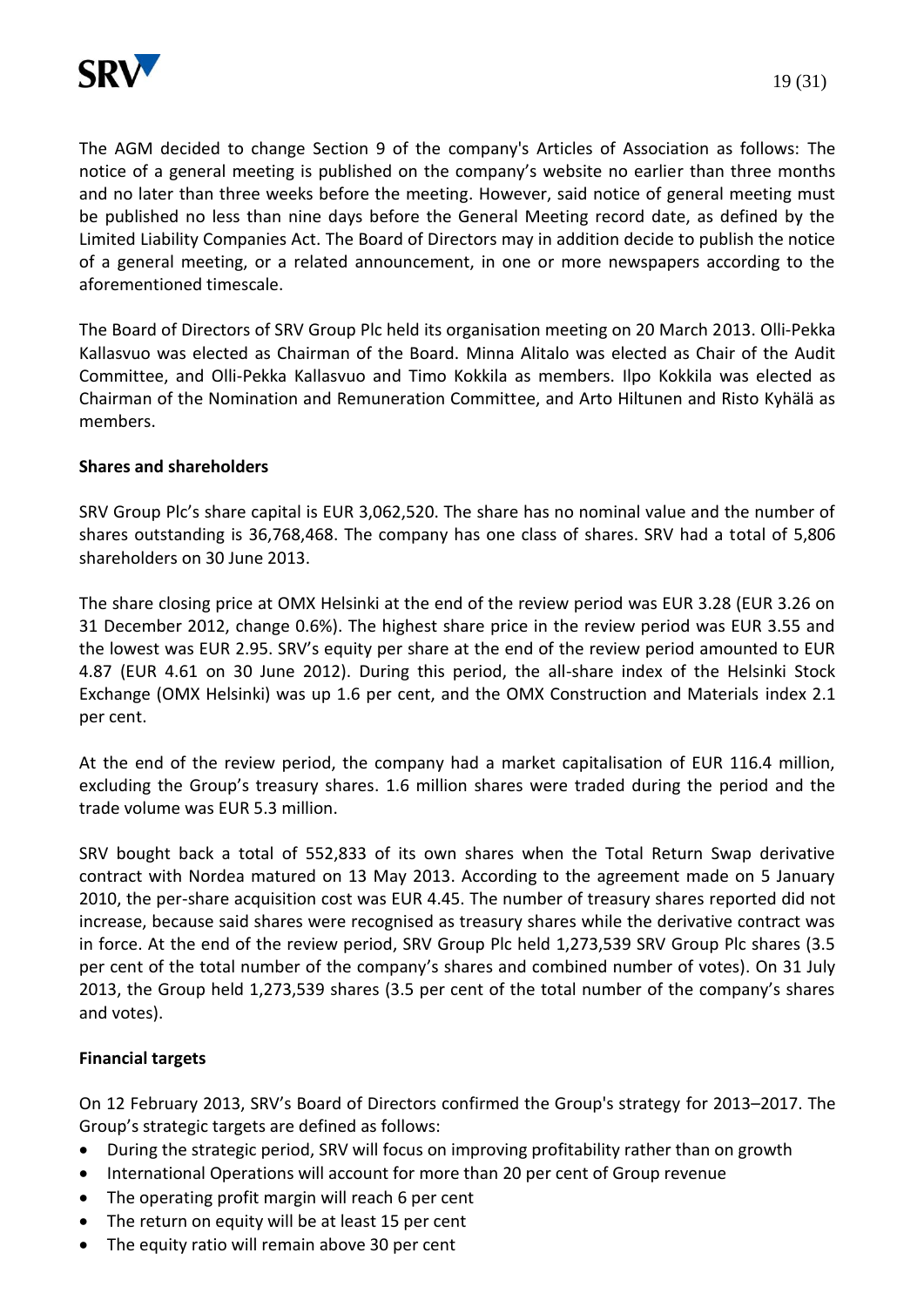

The AGM decided to change Section 9 of the company's Articles of Association as follows: The notice of a general meeting is published on the company's website no earlier than three months and no later than three weeks before the meeting. However, said notice of general meeting must be published no less than nine days before the General Meeting record date, as defined by the Limited Liability Companies Act. The Board of Directors may in addition decide to publish the notice of a general meeting, or a related announcement, in one or more newspapers according to the aforementioned timescale.

The Board of Directors of SRV Group Plc held its organisation meeting on 20 March 2013. Olli-Pekka Kallasvuo was elected as Chairman of the Board. Minna Alitalo was elected as Chair of the Audit Committee, and Olli-Pekka Kallasvuo and Timo Kokkila as members. Ilpo Kokkila was elected as Chairman of the Nomination and Remuneration Committee, and Arto Hiltunen and Risto Kyhälä as members.

### **Shares and shareholders**

SRV Group Plc's share capital is EUR 3,062,520. The share has no nominal value and the number of shares outstanding is 36,768,468. The company has one class of shares. SRV had a total of 5,806 shareholders on 30 June 2013.

The share closing price at OMX Helsinki at the end of the review period was EUR 3.28 (EUR 3.26 on 31 December 2012, change 0.6%). The highest share price in the review period was EUR 3.55 and the lowest was EUR 2.95. SRV's equity per share at the end of the review period amounted to EUR 4.87 (EUR 4.61 on 30 June 2012). During this period, the all-share index of the Helsinki Stock Exchange (OMX Helsinki) was up 1.6 per cent, and the OMX Construction and Materials index 2.1 per cent.

At the end of the review period, the company had a market capitalisation of EUR 116.4 million, excluding the Group's treasury shares. 1.6 million shares were traded during the period and the trade volume was EUR 5.3 million.

SRV bought back a total of 552,833 of its own shares when the Total Return Swap derivative contract with Nordea matured on 13 May 2013. According to the agreement made on 5 January 2010, the per-share acquisition cost was EUR 4.45. The number of treasury shares reported did not increase, because said shares were recognised as treasury shares while the derivative contract was in force. At the end of the review period, SRV Group Plc held 1,273,539 SRV Group Plc shares (3.5 per cent of the total number of the company's shares and combined number of votes). On 31 July 2013, the Group held 1,273,539 shares (3.5 per cent of the total number of the company's shares and votes).

## **Financial targets**

On 12 February 2013, SRV's Board of Directors confirmed the Group's strategy for 2013–2017. The Group's strategic targets are defined as follows:

- During the strategic period, SRV will focus on improving profitability rather than on growth
- International Operations will account for more than 20 per cent of Group revenue
- The operating profit margin will reach 6 per cent
- The return on equity will be at least 15 per cent
- The equity ratio will remain above 30 per cent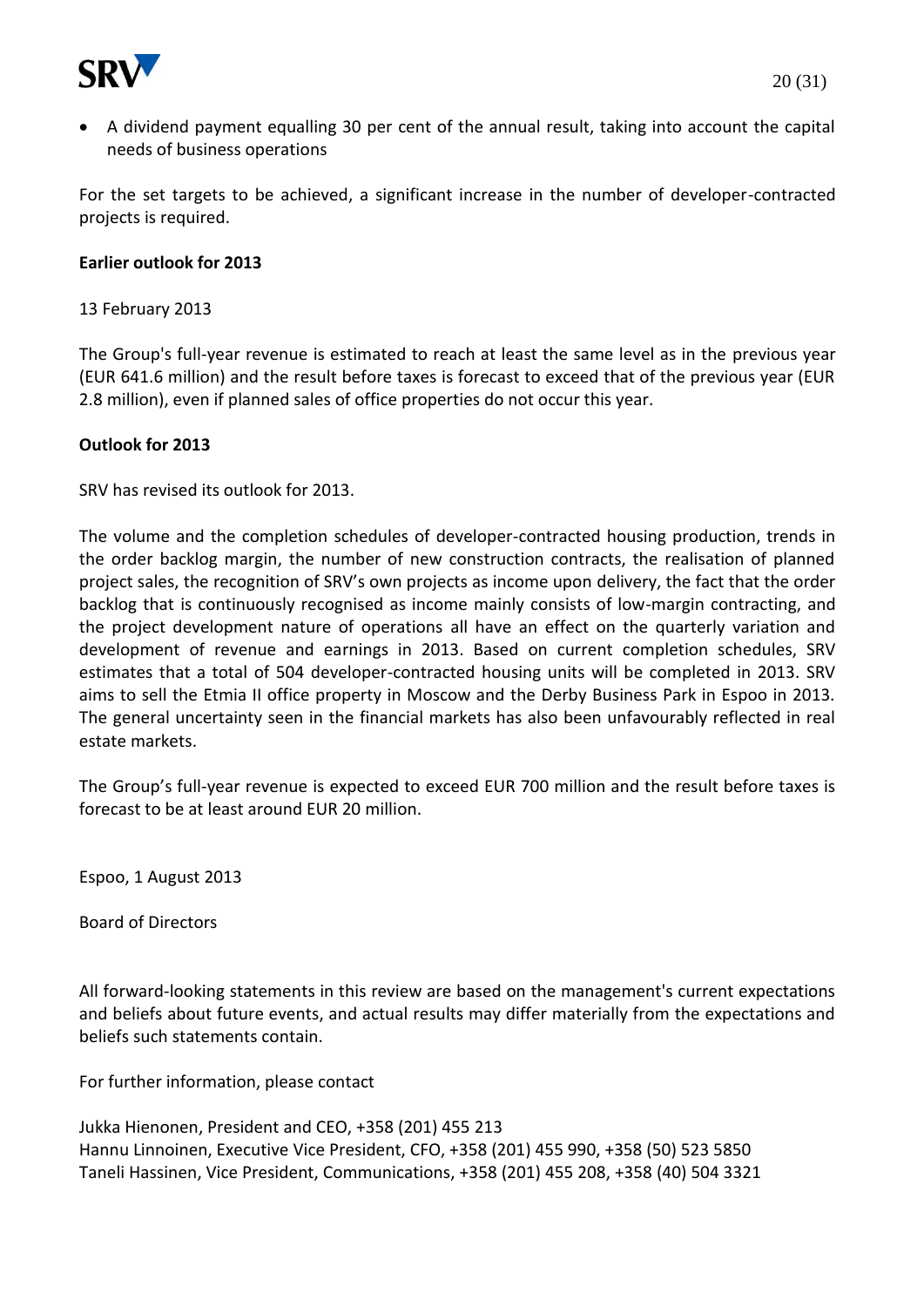

 A dividend payment equalling 30 per cent of the annual result, taking into account the capital needs of business operations

For the set targets to be achieved, a significant increase in the number of developer-contracted projects is required.

### **Earlier outlook for 2013**

13 February 2013

The Group's full-year revenue is estimated to reach at least the same level as in the previous year (EUR 641.6 million) and the result before taxes is forecast to exceed that of the previous year (EUR 2.8 million), even if planned sales of office properties do not occur this year.

### **Outlook for 2013**

SRV has revised its outlook for 2013.

The volume and the completion schedules of developer-contracted housing production, trends in the order backlog margin, the number of new construction contracts, the realisation of planned project sales, the recognition of SRV's own projects as income upon delivery, the fact that the order backlog that is continuously recognised as income mainly consists of low-margin contracting, and the project development nature of operations all have an effect on the quarterly variation and development of revenue and earnings in 2013. Based on current completion schedules, SRV estimates that a total of 504 developer-contracted housing units will be completed in 2013. SRV aims to sell the Etmia II office property in Moscow and the Derby Business Park in Espoo in 2013. The general uncertainty seen in the financial markets has also been unfavourably reflected in real estate markets.

The Group's full-year revenue is expected to exceed EUR 700 million and the result before taxes is forecast to be at least around EUR 20 million.

Espoo, 1 August 2013

Board of Directors

All forward-looking statements in this review are based on the management's current expectations and beliefs about future events, and actual results may differ materially from the expectations and beliefs such statements contain.

For further information, please contact

Jukka Hienonen, President and CEO, +358 (201) 455 213 Hannu Linnoinen, Executive Vice President, CFO, +358 (201) 455 990, +358 (50) 523 5850 Taneli Hassinen, Vice President, Communications, +358 (201) 455 208, +358 (40) 504 3321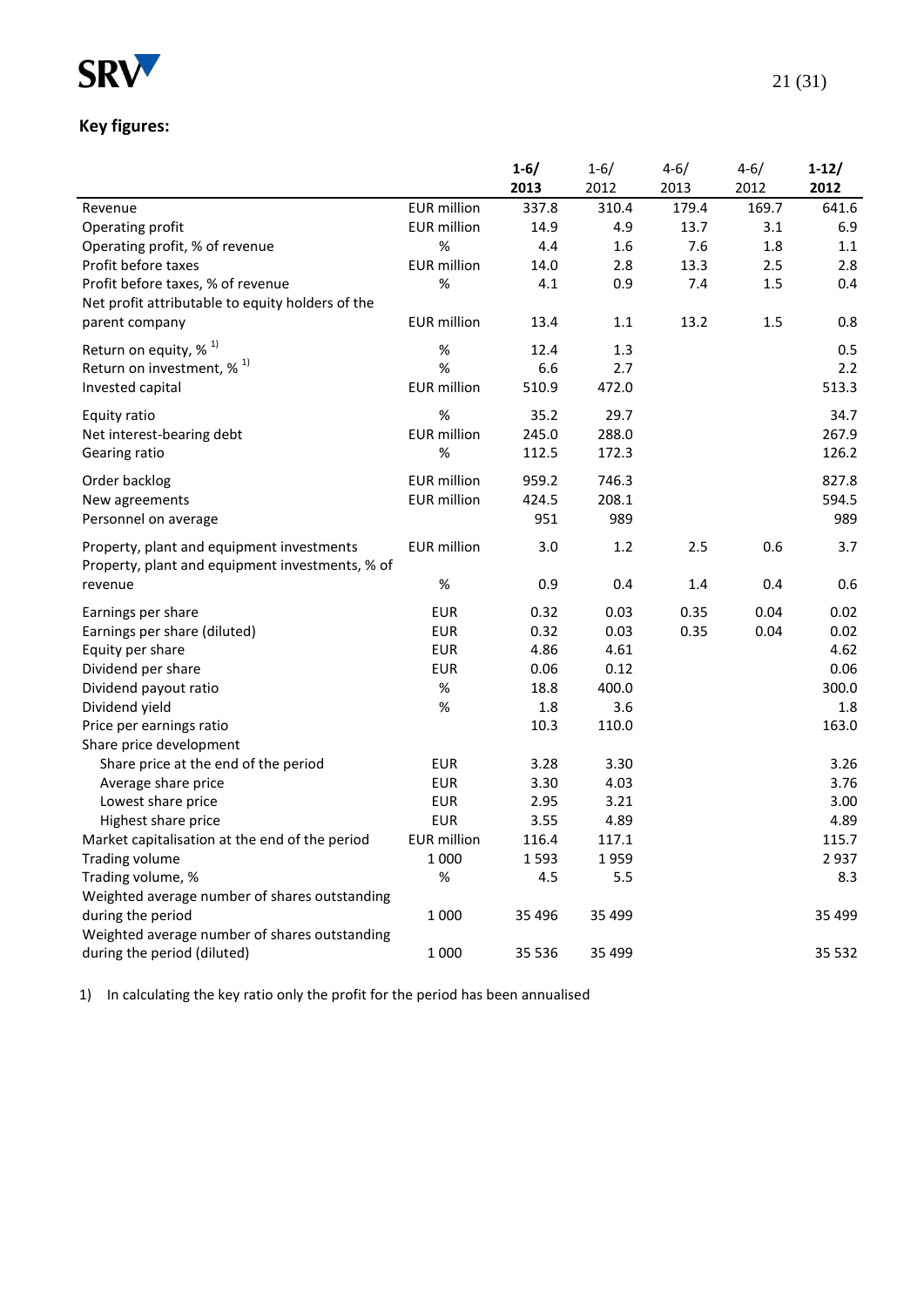

# **Key figures:**

|                                                  |                    | $1 - 6/$ | $1 - 6/$ | $4 - 6/$ | $4 - 6/$ | $1-12/$ |
|--------------------------------------------------|--------------------|----------|----------|----------|----------|---------|
|                                                  |                    | 2013     | 2012     | 2013     | 2012     | 2012    |
| Revenue                                          | <b>EUR</b> million | 337.8    | 310.4    | 179.4    | 169.7    | 641.6   |
| Operating profit                                 | <b>EUR</b> million | 14.9     | 4.9      | 13.7     | 3.1      | 6.9     |
| Operating profit, % of revenue                   | $\%$               | 4.4      | 1.6      | 7.6      | 1.8      | 1.1     |
| Profit before taxes                              | <b>EUR</b> million | 14.0     | 2.8      | 13.3     | 2.5      | 2.8     |
| Profit before taxes, % of revenue                | %                  | 4.1      | 0.9      | 7.4      | $1.5$    | 0.4     |
| Net profit attributable to equity holders of the |                    |          |          |          |          |         |
| parent company                                   | <b>EUR</b> million | 13.4     | 1.1      | 13.2     | 1.5      | 0.8     |
| Return on equity, % <sup>1)</sup>                | %                  | 12.4     | 1.3      |          |          | 0.5     |
| Return on investment, $\%$ <sup>1)</sup>         | $\%$               | 6.6      | 2.7      |          |          | 2.2     |
| Invested capital                                 | <b>EUR</b> million | 510.9    | 472.0    |          |          | 513.3   |
|                                                  |                    |          |          |          |          |         |
| Equity ratio                                     | %                  | 35.2     | 29.7     |          |          | 34.7    |
| Net interest-bearing debt                        | <b>EUR</b> million | 245.0    | 288.0    |          |          | 267.9   |
| Gearing ratio                                    | %                  | 112.5    | 172.3    |          |          | 126.2   |
| Order backlog                                    | <b>EUR</b> million | 959.2    | 746.3    |          |          | 827.8   |
| New agreements                                   | <b>EUR</b> million | 424.5    | 208.1    |          |          | 594.5   |
| Personnel on average                             |                    | 951      | 989      |          |          | 989     |
| Property, plant and equipment investments        | <b>EUR</b> million | 3.0      | 1.2      | 2.5      | 0.6      | 3.7     |
| Property, plant and equipment investments, % of  |                    |          |          |          |          |         |
| revenue                                          | %                  | 0.9      | 0.4      | 1.4      | 0.4      | 0.6     |
|                                                  |                    |          |          |          |          |         |
| Earnings per share                               | <b>EUR</b>         | 0.32     | 0.03     | 0.35     | 0.04     | 0.02    |
| Earnings per share (diluted)                     | <b>EUR</b>         | 0.32     | 0.03     | 0.35     | 0.04     | 0.02    |
| Equity per share                                 | <b>EUR</b>         | 4.86     | 4.61     |          |          | 4.62    |
| Dividend per share                               | <b>EUR</b>         | 0.06     | 0.12     |          |          | 0.06    |
| Dividend payout ratio                            | %                  | 18.8     | 400.0    |          |          | 300.0   |
| Dividend yield                                   | %                  | 1.8      | 3.6      |          |          | 1.8     |
| Price per earnings ratio                         |                    | 10.3     | 110.0    |          |          | 163.0   |
| Share price development                          |                    |          |          |          |          |         |
| Share price at the end of the period             | <b>EUR</b>         | 3.28     | 3.30     |          |          | 3.26    |
| Average share price                              | <b>EUR</b>         | 3.30     | 4.03     |          |          | 3.76    |
| Lowest share price                               | <b>EUR</b>         | 2.95     | 3.21     |          |          | 3.00    |
| Highest share price                              | <b>EUR</b>         | 3.55     | 4.89     |          |          | 4.89    |
| Market capitalisation at the end of the period   | <b>EUR</b> million | 116.4    | 117.1    |          |          | 115.7   |
| <b>Trading volume</b>                            | 1 0 0 0            | 1593     | 1959     |          |          | 2937    |
| Trading volume, %                                | $\%$               | 4.5      | 5.5      |          |          | 8.3     |
| Weighted average number of shares outstanding    |                    |          |          |          |          |         |
| during the period                                | 1 0 0 0            | 35 4 96  | 35 4 99  |          |          | 35 4 99 |
| Weighted average number of shares outstanding    |                    |          |          |          |          |         |
| during the period (diluted)                      | 1 0 0 0            | 35 536   | 35 4 99  |          |          | 35 5 32 |

1) In calculating the key ratio only the profit for the period has been annualised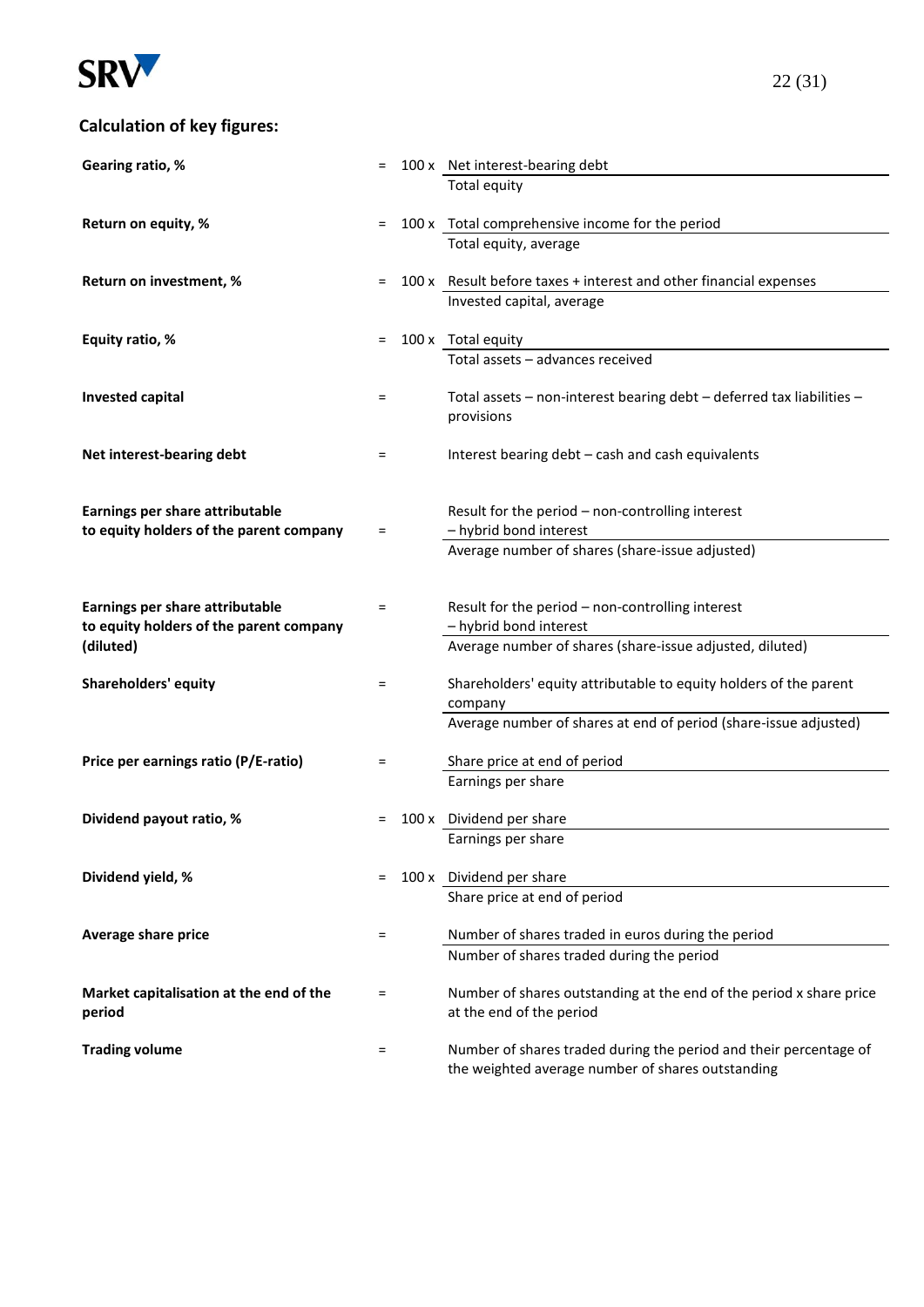

## **Calculation of key figures:**

| Gearing ratio, %                        |     | 100 x Net interest-bearing debt                                                                                        |
|-----------------------------------------|-----|------------------------------------------------------------------------------------------------------------------------|
|                                         |     | Total equity                                                                                                           |
|                                         |     |                                                                                                                        |
| Return on equity, %                     | $=$ | 100 x Total comprehensive income for the period                                                                        |
|                                         |     | Total equity, average                                                                                                  |
|                                         |     |                                                                                                                        |
| Return on investment, %                 | $=$ | 100 x Result before taxes + interest and other financial expenses                                                      |
|                                         |     | Invested capital, average                                                                                              |
| Equity ratio, %                         | $=$ | 100 x Total equity                                                                                                     |
|                                         |     | Total assets - advances received                                                                                       |
|                                         |     |                                                                                                                        |
| <b>Invested capital</b>                 | $=$ | Total assets - non-interest bearing debt - deferred tax liabilities -                                                  |
|                                         |     | provisions                                                                                                             |
|                                         |     |                                                                                                                        |
| Net interest-bearing debt               | =   | Interest bearing debt - cash and cash equivalents                                                                      |
|                                         |     |                                                                                                                        |
|                                         |     |                                                                                                                        |
| Earnings per share attributable         |     | Result for the period - non-controlling interest                                                                       |
| to equity holders of the parent company | =   | - hybrid bond interest                                                                                                 |
|                                         |     | Average number of shares (share-issue adjusted)                                                                        |
|                                         |     |                                                                                                                        |
| Earnings per share attributable         | Ξ   | Result for the period - non-controlling interest                                                                       |
| to equity holders of the parent company |     | - hybrid bond interest                                                                                                 |
| (diluted)                               |     | Average number of shares (share-issue adjusted, diluted)                                                               |
|                                         |     |                                                                                                                        |
| <b>Shareholders' equity</b>             | Ξ.  | Shareholders' equity attributable to equity holders of the parent                                                      |
|                                         |     | company                                                                                                                |
|                                         |     | Average number of shares at end of period (share-issue adjusted)                                                       |
|                                         |     |                                                                                                                        |
| Price per earnings ratio (P/E-ratio)    | Ξ   | Share price at end of period                                                                                           |
|                                         |     | Earnings per share                                                                                                     |
| Dividend payout ratio, %                | =   | 100 x Dividend per share                                                                                               |
|                                         |     | Earnings per share                                                                                                     |
|                                         |     |                                                                                                                        |
| Dividend yield, %                       | $=$ | 100 x Dividend per share                                                                                               |
|                                         |     | Share price at end of period                                                                                           |
|                                         |     |                                                                                                                        |
| Average share price                     | Ξ   | Number of shares traded in euros during the period                                                                     |
|                                         |     | Number of shares traded during the period                                                                              |
|                                         |     |                                                                                                                        |
| Market capitalisation at the end of the | $=$ | Number of shares outstanding at the end of the period x share price                                                    |
| period                                  |     | at the end of the period                                                                                               |
|                                         |     |                                                                                                                        |
| <b>Trading volume</b>                   | =   | Number of shares traded during the period and their percentage of<br>the weighted average number of shares outstanding |
|                                         |     |                                                                                                                        |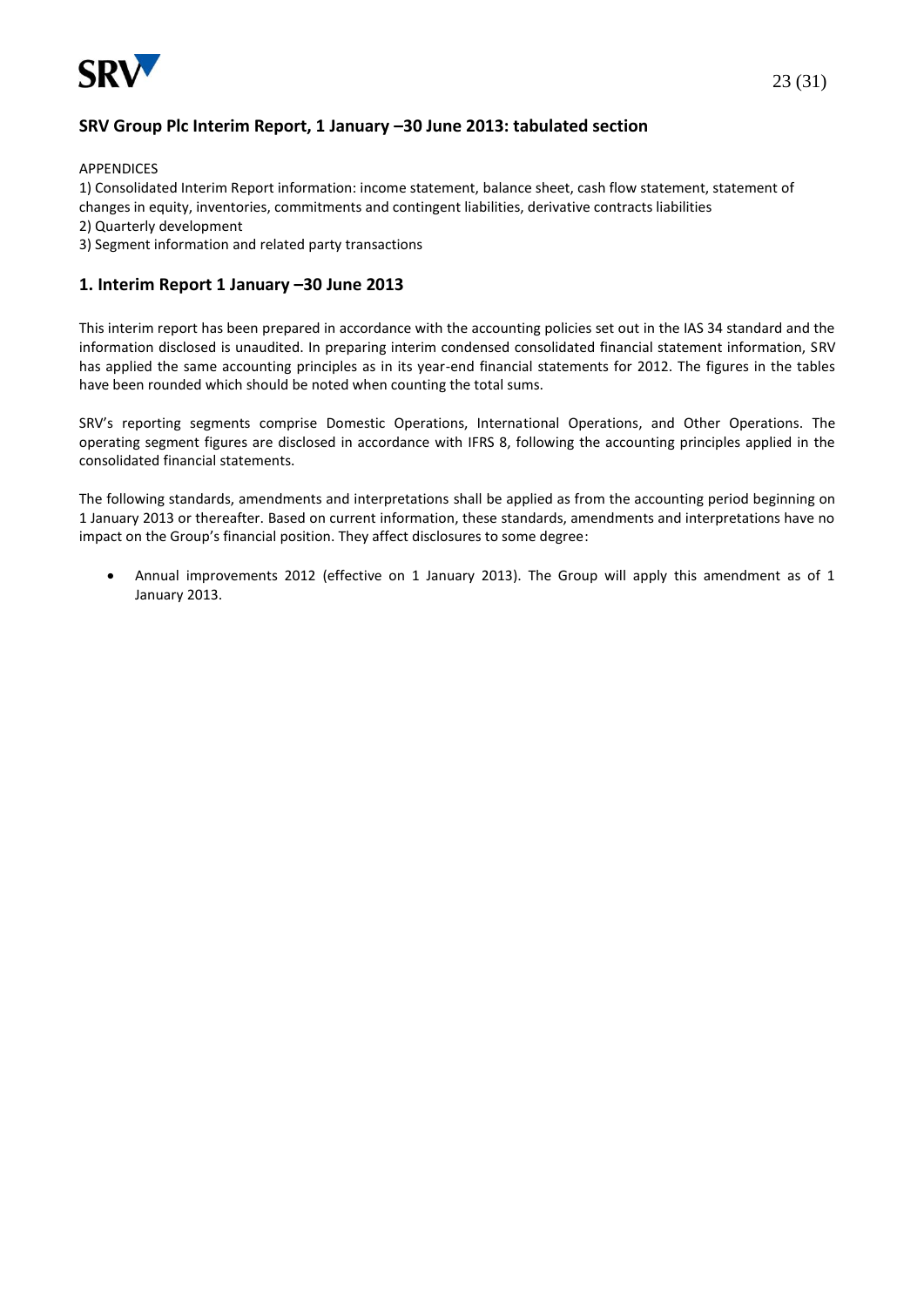

## **SRV Group Plc Interim Report, 1 January –30 June 2013: tabulated section**

APPENDICES

1) Consolidated Interim Report information: income statement, balance sheet, cash flow statement, statement of changes in equity, inventories, commitments and contingent liabilities, derivative contracts liabilities

- 2) Quarterly development
- 3) Segment information and related party transactions

#### **1. Interim Report 1 January –30 June 2013**

This interim report has been prepared in accordance with the accounting policies set out in the IAS 34 standard and the information disclosed is unaudited. In preparing interim condensed consolidated financial statement information, SRV has applied the same accounting principles as in its year-end financial statements for 2012. The figures in the tables have been rounded which should be noted when counting the total sums.

SRV's reporting segments comprise Domestic Operations, International Operations, and Other Operations. The operating segment figures are disclosed in accordance with IFRS 8, following the accounting principles applied in the consolidated financial statements.

The following standards, amendments and interpretations shall be applied as from the accounting period beginning on 1 January 2013 or thereafter. Based on current information, these standards, amendments and interpretations have no impact on the Group's financial position. They affect disclosures to some degree:

 Annual improvements 2012 (effective on 1 January 2013). The Group will apply this amendment as of 1 January 2013.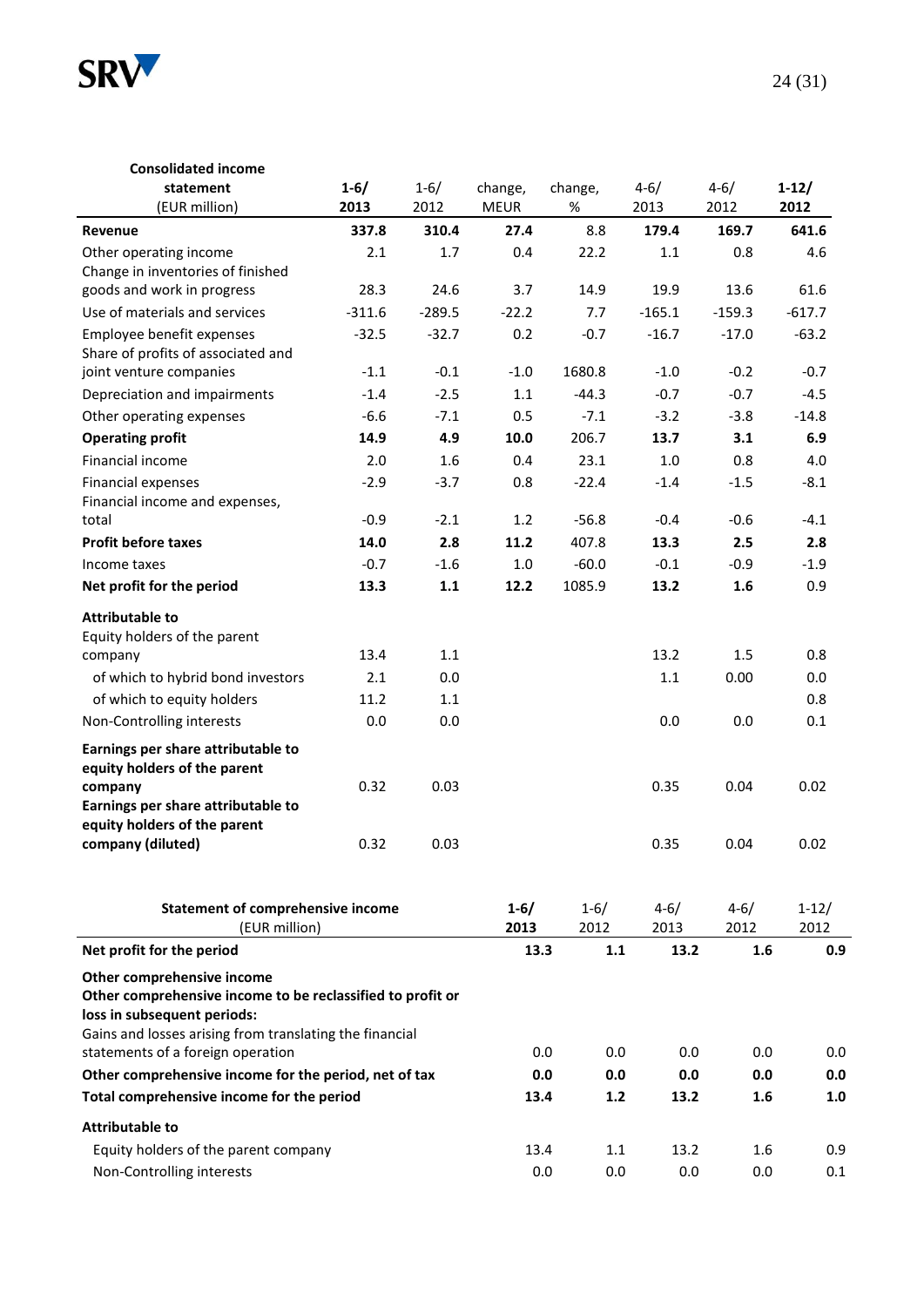

| <b>Consolidated income</b><br>statement<br>(EUR million)                                                                                                                           | $1 - 6/$<br>2013 | $1 - 6/$<br>2012 | change,<br><b>MEUR</b> | change,<br>%     | $4 - 6/$<br>2013 | $4 - 6/$<br>2012 | $1-12/$<br>2012 |
|------------------------------------------------------------------------------------------------------------------------------------------------------------------------------------|------------------|------------------|------------------------|------------------|------------------|------------------|-----------------|
| Revenue                                                                                                                                                                            | 337.8            | 310.4            | 27.4                   | 8.8              | 179.4            | 169.7            | 641.6           |
| Other operating income                                                                                                                                                             | 2.1              | 1.7              | 0.4                    | 22.2             | 1.1              | 0.8              | 4.6             |
| Change in inventories of finished                                                                                                                                                  |                  |                  |                        |                  |                  |                  |                 |
| goods and work in progress                                                                                                                                                         | 28.3             | 24.6             | 3.7                    | 14.9             | 19.9             | 13.6             | 61.6            |
| Use of materials and services                                                                                                                                                      | $-311.6$         | $-289.5$         | $-22.2$                | 7.7              | $-165.1$         | $-159.3$         | $-617.7$        |
| Employee benefit expenses<br>Share of profits of associated and                                                                                                                    | $-32.5$          | $-32.7$          | 0.2                    | $-0.7$           | $-16.7$          | $-17.0$          | $-63.2$         |
| joint venture companies                                                                                                                                                            | $-1.1$           | $-0.1$           | $-1.0$                 | 1680.8           | $-1.0$           | $-0.2$           | $-0.7$          |
| Depreciation and impairments                                                                                                                                                       | $-1.4$           | $-2.5$           | $1.1$                  | $-44.3$          | $-0.7$           | $-0.7$           | $-4.5$          |
| Other operating expenses                                                                                                                                                           | $-6.6$           | $-7.1$           | 0.5                    | $-7.1$           | $-3.2$           | $-3.8$           | $-14.8$         |
| <b>Operating profit</b>                                                                                                                                                            | 14.9             | 4.9              | 10.0                   | 206.7            | 13.7             | 3.1              | 6.9             |
| Financial income                                                                                                                                                                   | 2.0              | 1.6              | 0.4                    | 23.1             | 1.0              | 0.8              | 4.0             |
| Financial expenses<br>Financial income and expenses,                                                                                                                               | $-2.9$           | $-3.7$           | 0.8                    | $-22.4$          | $-1.4$           | $-1.5$           | $-8.1$          |
| total                                                                                                                                                                              | $-0.9$           | $-2.1$           | 1.2                    | $-56.8$          | $-0.4$           | $-0.6$           | $-4.1$          |
| <b>Profit before taxes</b>                                                                                                                                                         | 14.0             | 2.8              | 11.2                   | 407.8            | 13.3             | 2.5              | 2.8             |
| Income taxes                                                                                                                                                                       | $-0.7$           | $-1.6$           | $1.0\,$                | $-60.0$          | $-0.1$           | $-0.9$           | $-1.9$          |
| Net profit for the period                                                                                                                                                          | 13.3             | $1.1\,$          | 12.2                   | 1085.9           | 13.2             | 1.6              | 0.9             |
| <b>Attributable to</b><br>Equity holders of the parent                                                                                                                             |                  |                  |                        |                  |                  |                  |                 |
| company                                                                                                                                                                            | 13.4             | 1.1              |                        |                  | 13.2             | 1.5              | 0.8             |
| of which to hybrid bond investors                                                                                                                                                  | 2.1              | 0.0              |                        |                  | 1.1              | 0.00             | 0.0             |
| of which to equity holders                                                                                                                                                         | 11.2             | 1.1              |                        |                  |                  |                  | 0.8             |
| Non-Controlling interests                                                                                                                                                          | 0.0              | 0.0              |                        |                  | 0.0              | 0.0              | 0.1             |
| Earnings per share attributable to<br>equity holders of the parent                                                                                                                 |                  |                  |                        |                  |                  |                  |                 |
| company                                                                                                                                                                            | 0.32             | 0.03             |                        |                  | 0.35             | 0.04             | 0.02            |
| Earnings per share attributable to<br>equity holders of the parent                                                                                                                 |                  |                  |                        |                  |                  |                  |                 |
| company (diluted)                                                                                                                                                                  | 0.32             | 0.03             |                        |                  | 0.35             | 0.04             | 0.02            |
| <b>Statement of comprehensive income</b><br>(EUR million)                                                                                                                          |                  |                  | $1 - 6/$<br>2013       | $1 - 6/$<br>2012 | $4 - 6/$<br>2013 | $4 - 6/$<br>2012 | $1-12/$<br>2012 |
| Net profit for the period                                                                                                                                                          |                  |                  | 13.3                   | $1.1$            | 13.2             | 1.6              | 0.9             |
| Other comprehensive income<br>Other comprehensive income to be reclassified to profit or<br>loss in subsequent periods:<br>Gains and losses arising from translating the financial |                  |                  |                        |                  |                  |                  |                 |
| statements of a foreign operation                                                                                                                                                  |                  |                  |                        | 0.0<br>0.0       | 0.0              | 0.0              | 0.0             |
| Other comprehensive income for the period, net of tax                                                                                                                              |                  |                  |                        | 0.0<br>0.0       | 0.0              | 0.0              | 0.0             |
| Total comprehensive income for the period                                                                                                                                          |                  |                  | 13.4                   | $1.2$            | 13.2             | 1.6              | 1.0             |
| <b>Attributable to</b>                                                                                                                                                             |                  |                  |                        |                  |                  |                  |                 |
| Equity holders of the parent company                                                                                                                                               |                  |                  | 13.4                   | 1.1              | 13.2             | 1.6              | 0.9             |
| Non-Controlling interests                                                                                                                                                          |                  |                  |                        | 0.0<br>0.0       | 0.0              | 0.0              | 0.1             |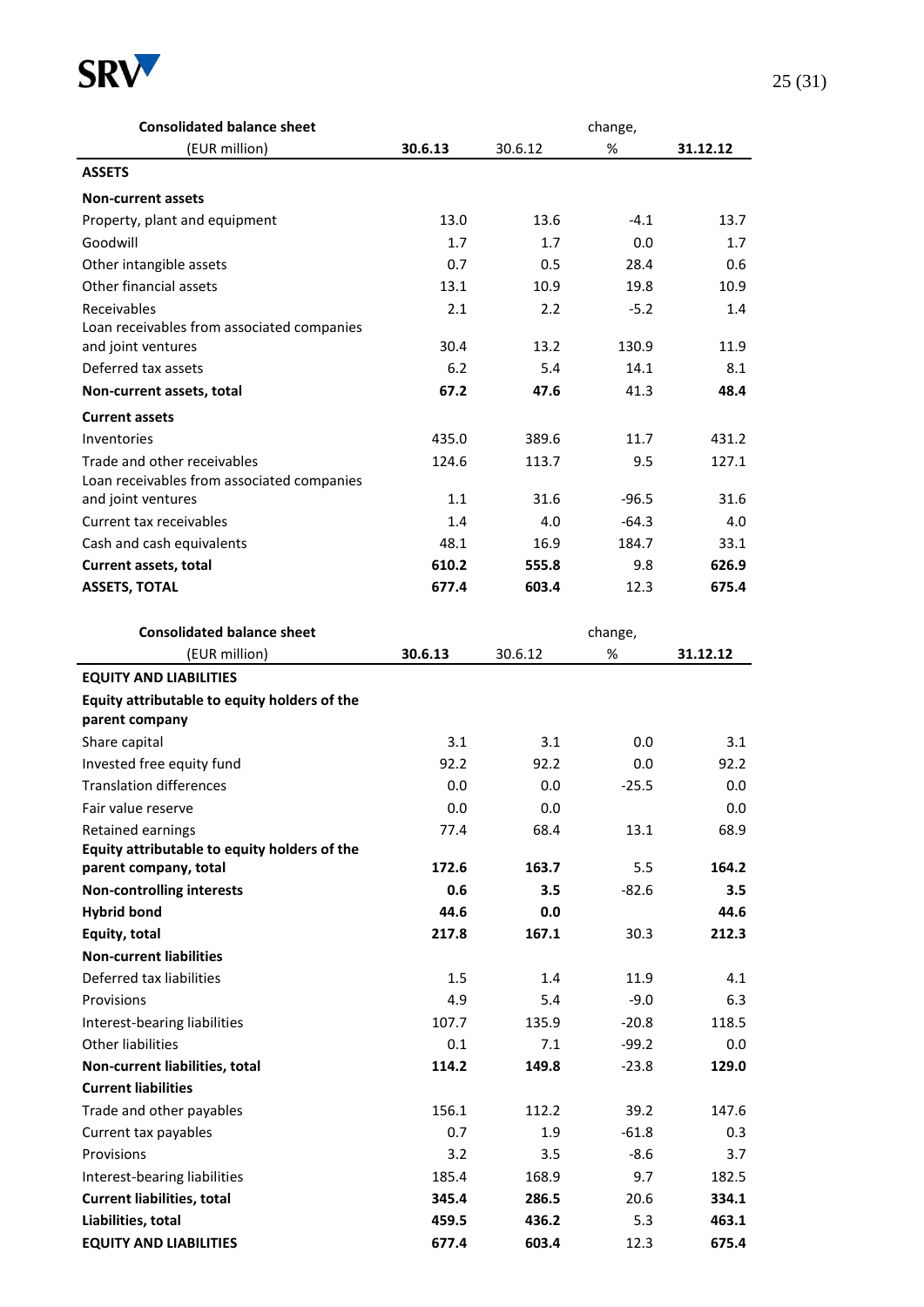

| <b>Consolidated balance sheet</b>                                     |                |                |             |                |
|-----------------------------------------------------------------------|----------------|----------------|-------------|----------------|
| (EUR million)                                                         | 30.6.13        | 30.6.12        | $\%$        | 31.12.12       |
| <b>ASSETS</b>                                                         |                |                |             |                |
| <b>Non-current assets</b>                                             |                |                |             |                |
| Property, plant and equipment                                         | 13.0           | 13.6           | $-4.1$      | 13.7           |
| Goodwill                                                              | 1.7            | 1.7            | 0.0         | 1.7            |
| Other intangible assets                                               | 0.7            | 0.5            | 28.4        | 0.6            |
| Other financial assets                                                | 13.1           | 10.9           | 19.8        | 10.9           |
| Receivables                                                           | 2.1            | 2.2            | $-5.2$      | 1.4            |
| Loan receivables from associated companies                            |                |                |             |                |
| and joint ventures                                                    | 30.4           | 13.2           | 130.9       | 11.9           |
| Deferred tax assets                                                   | 6.2            | 5.4            | 14.1        | 8.1            |
| Non-current assets, total                                             | 67.2           | 47.6           | 41.3        | 48.4           |
| <b>Current assets</b>                                                 |                |                |             |                |
| Inventories                                                           | 435.0          | 389.6          | 11.7        | 431.2          |
| Trade and other receivables                                           | 124.6          | 113.7          | 9.5         | 127.1          |
| Loan receivables from associated companies                            |                |                |             |                |
| and joint ventures                                                    | 1.1            | 31.6           | $-96.5$     | 31.6           |
| Current tax receivables                                               | 1.4            | 4.0            | $-64.3$     | 4.0            |
| Cash and cash equivalents                                             | 48.1           | 16.9           | 184.7       | 33.1           |
| Current assets, total                                                 | 610.2          | 555.8          | 9.8         | 626.9          |
| <b>ASSETS, TOTAL</b>                                                  | 677.4          | 603.4          | 12.3        | 675.4          |
|                                                                       |                |                |             |                |
| <b>Consolidated balance sheet</b>                                     |                |                | change,     |                |
| (EUR million)                                                         | 30.6.13        | 30.6.12        | %           | 31.12.12       |
| <b>EQUITY AND LIABILITIES</b>                                         |                |                |             |                |
| Equity attributable to equity holders of the                          |                |                |             |                |
| parent company                                                        |                |                |             |                |
| Share capital                                                         | 3.1            | 3.1            | 0.0         | 3.1            |
| Invested free equity fund                                             | 92.2           | 92.2           | 0.0         | 92.2           |
| <b>Translation differences</b>                                        | 0.0            | 0.0            | $-25.5$     | 0.0            |
| Fair value reserve                                                    | 0.0            | 0.0            |             | 0.0            |
| Retained earnings                                                     | 77.4           | 68.4           | 13.1        | 68.9           |
| Equity attributable to equity holders of the<br>parent company, total | 172.6          | 163.7          | 5.5         | 164.2          |
| <b>Non-controlling interests</b>                                      | 0.6            | 3.5            | $-82.6$     | 3.5            |
| <b>Hybrid bond</b>                                                    | 44.6           | 0.0            |             | 44.6           |
| Equity, total                                                         | 217.8          | 167.1          | 30.3        | 212.3          |
| <b>Non-current liabilities</b>                                        |                |                |             |                |
| Deferred tax liabilities                                              | 1.5            | 1.4            | 11.9        | 4.1            |
| Provisions                                                            | 4.9            | 5.4            | $-9.0$      | 6.3            |
| Interest-bearing liabilities                                          | 107.7          | 135.9          | $-20.8$     | 118.5          |
| <b>Other liabilities</b>                                              | 0.1            | 7.1            | $-99.2$     | 0.0            |
| Non-current liabilities, total                                        | 114.2          | 149.8          | $-23.8$     | 129.0          |
| <b>Current liabilities</b>                                            |                |                |             |                |
|                                                                       |                |                |             |                |
| Trade and other payables                                              | 156.1          | 112.2          | 39.2        | 147.6          |
| Current tax payables                                                  | 0.7            | 1.9            | $-61.8$     | 0.3            |
| Provisions                                                            | 3.2            | 3.5            | $-8.6$      | 3.7            |
| Interest-bearing liabilities                                          | 185.4          | 168.9          | 9.7         | 182.5          |
| <b>Current liabilities, total</b>                                     | 345.4<br>459.5 | 286.5<br>436.2 | 20.6<br>5.3 | 334.1<br>463.1 |
| Liabilities, total                                                    |                |                |             |                |

**EQUITY AND LIABILITIES 677.4 603.4** 12.3 **675.4**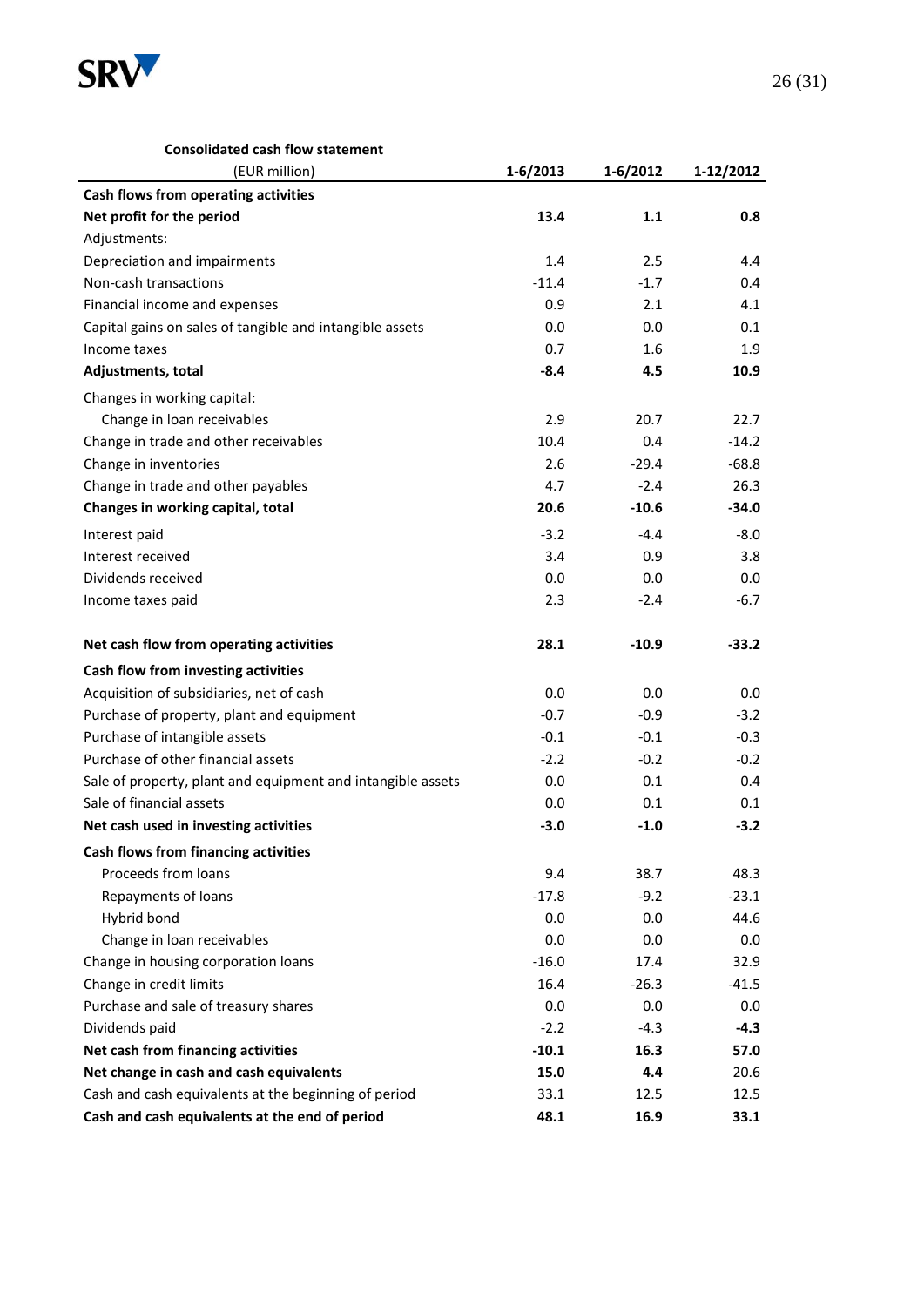

#### **Consolidated cash flow statement**

| (EUR million)                                               | $1 - 6/2013$ | 1-6/2012 | 1-12/2012 |
|-------------------------------------------------------------|--------------|----------|-----------|
| Cash flows from operating activities                        |              |          |           |
| Net profit for the period                                   | 13.4         | 1.1      | 0.8       |
| Adjustments:                                                |              |          |           |
| Depreciation and impairments                                | 1.4          | 2.5      | 4.4       |
| Non-cash transactions                                       | $-11.4$      | $-1.7$   | 0.4       |
| Financial income and expenses                               | 0.9          | 2.1      | 4.1       |
| Capital gains on sales of tangible and intangible assets    | 0.0          | 0.0      | 0.1       |
| Income taxes                                                | 0.7          | 1.6      | 1.9       |
| Adjustments, total                                          | $-8.4$       | 4.5      | 10.9      |
| Changes in working capital:                                 |              |          |           |
| Change in loan receivables                                  | 2.9          | 20.7     | 22.7      |
| Change in trade and other receivables                       | 10.4         | 0.4      | $-14.2$   |
| Change in inventories                                       | 2.6          | $-29.4$  | $-68.8$   |
| Change in trade and other payables                          | 4.7          | $-2.4$   | 26.3      |
| Changes in working capital, total                           | 20.6         | $-10.6$  | $-34.0$   |
| Interest paid                                               | $-3.2$       | $-4.4$   | $-8.0$    |
| Interest received                                           | 3.4          | 0.9      | 3.8       |
| Dividends received                                          | 0.0          | 0.0      | 0.0       |
| Income taxes paid                                           | 2.3          | $-2.4$   | $-6.7$    |
| Net cash flow from operating activities                     | 28.1         | $-10.9$  | $-33.2$   |
| Cash flow from investing activities                         |              |          |           |
| Acquisition of subsidiaries, net of cash                    | 0.0          | 0.0      | 0.0       |
| Purchase of property, plant and equipment                   | $-0.7$       | $-0.9$   | $-3.2$    |
| Purchase of intangible assets                               | $-0.1$       | $-0.1$   | $-0.3$    |
| Purchase of other financial assets                          | $-2.2$       | $-0.2$   | $-0.2$    |
| Sale of property, plant and equipment and intangible assets | 0.0          | 0.1      | 0.4       |
| Sale of financial assets                                    | 0.0          | 0.1      | 0.1       |
| Net cash used in investing activities                       | $-3.0$       | $-1.0$   | $-3.2$    |
| Cash flows from financing activities                        |              |          |           |
| Proceeds from loans                                         | 9.4          | 38.7     | 48.3      |
| Repayments of loans                                         | $-17.8$      | $-9.2$   | $-23.1$   |
| Hybrid bond                                                 | 0.0          | 0.0      | 44.6      |
| Change in loan receivables                                  | 0.0          | 0.0      | 0.0       |
| Change in housing corporation loans                         | $-16.0$      | 17.4     | 32.9      |
| Change in credit limits                                     | 16.4         | $-26.3$  | $-41.5$   |
| Purchase and sale of treasury shares                        | 0.0          | 0.0      | 0.0       |
| Dividends paid                                              | $-2.2$       | $-4.3$   | $-4.3$    |
| Net cash from financing activities                          | $-10.1$      | 16.3     | 57.0      |
| Net change in cash and cash equivalents                     | 15.0         | 4.4      | 20.6      |
| Cash and cash equivalents at the beginning of period        | 33.1         | 12.5     | 12.5      |
| Cash and cash equivalents at the end of period              | 48.1         | 16.9     | 33.1      |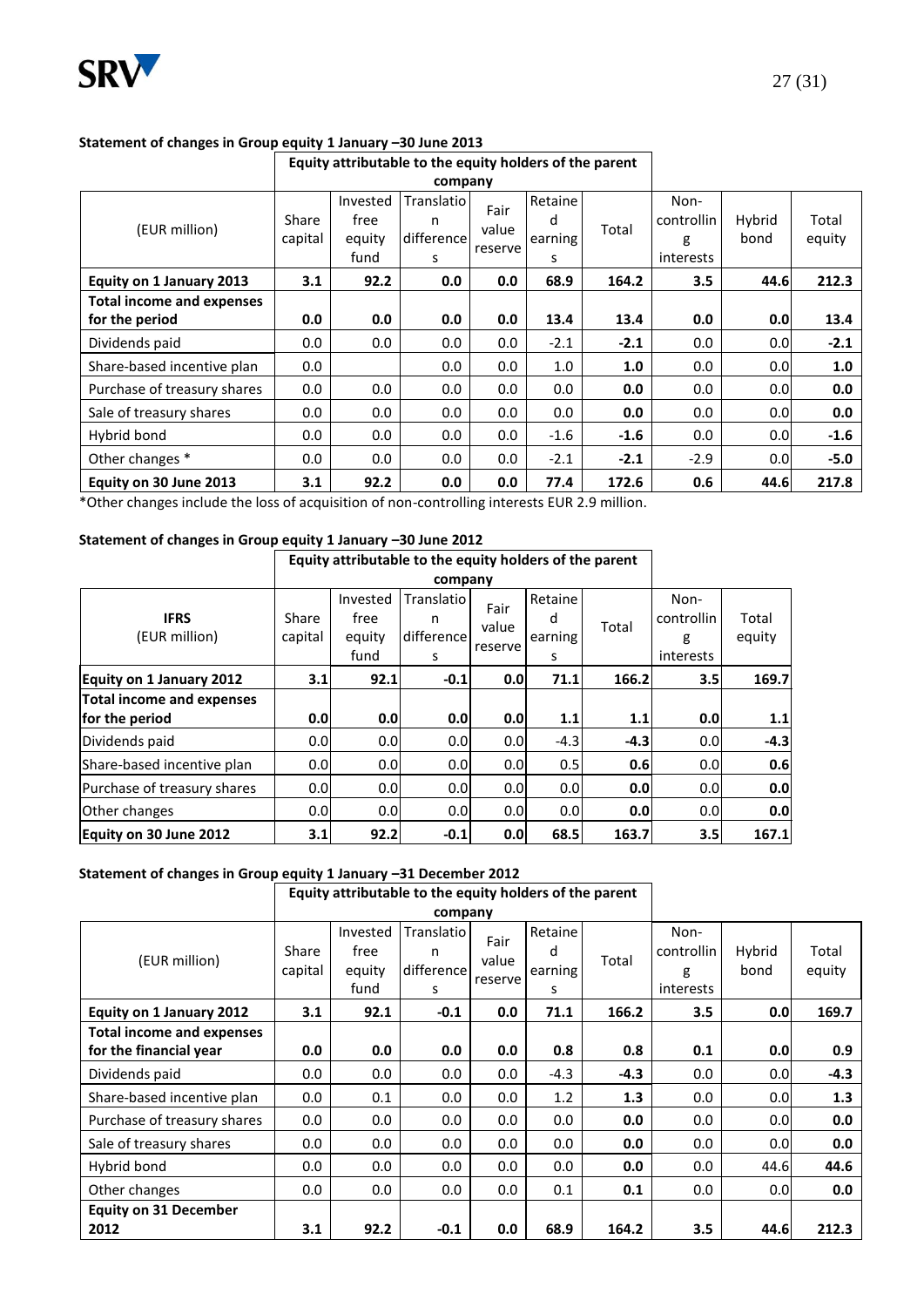

#### **Statement of changes in Group equity 1 January –30 June 2013**

# **Equity attributable to the equity holders of the parent**

|                                                    |                  |                                    | company                            |                          |                              |        |                                      |                |                 |
|----------------------------------------------------|------------------|------------------------------------|------------------------------------|--------------------------|------------------------------|--------|--------------------------------------|----------------|-----------------|
| (EUR million)                                      | Share<br>capital | Invested<br>free<br>equity<br>fund | Translatio<br>n<br>difference<br>s | Fair<br>value<br>reserve | Retaine<br>d<br>earning<br>s | Total  | Non-<br>controllin<br>g<br>interests | Hybrid<br>bond | Total<br>equity |
| Equity on 1 January 2013                           | 3.1              | 92.2                               | 0.0                                | 0.0                      | 68.9                         | 164.2  | 3.5                                  | 44.6           | 212.3           |
| <b>Total income and expenses</b><br>for the period | 0.0              | 0.0                                | 0.0                                | 0.0                      | 13.4                         | 13.4   | 0.0                                  | 0.0            | 13.4            |
| Dividends paid                                     | 0.0              | 0.0                                | 0.0                                | 0.0                      | $-2.1$                       | $-2.1$ | 0.0                                  | 0.0            | $-2.1$          |
| Share-based incentive plan                         | 0.0              |                                    | 0.0                                | 0.0                      | 1.0                          | 1.0    | 0.0                                  | 0.0            | 1.0             |
| Purchase of treasury shares                        | 0.0              | 0.0                                | 0.0                                | 0.0                      | 0.0                          | 0.0    | 0.0                                  | 0.0            | 0.0             |
| Sale of treasury shares                            | 0.0              | 0.0                                | 0.0                                | 0.0                      | 0.0                          | 0.0    | 0.0                                  | 0.0            | 0.0             |
| Hybrid bond                                        | 0.0              | 0.0                                | 0.0                                | 0.0                      | $-1.6$                       | $-1.6$ | 0.0                                  | 0.0            | $-1.6$          |
| Other changes *                                    | 0.0              | 0.0                                | 0.0                                | 0.0                      | $-2.1$                       | $-2.1$ | $-2.9$                               | 0.0            | $-5.0$          |
| Equity on 30 June 2013                             | 3.1              | 92.2                               | 0.0                                | 0.0                      | 77.4                         | 172.6  | 0.6                                  | 44.6           | 217.8           |

\*Other changes include the loss of acquisition of non-controlling interests EUR 2.9 million.

#### **Statement of changes in Group equity 1 January –30 June 2012**

|                                 |                  | Equity attributable to the equity holders of the parent |                                    |                          |                              |        |                                      |                 |
|---------------------------------|------------------|---------------------------------------------------------|------------------------------------|--------------------------|------------------------------|--------|--------------------------------------|-----------------|
|                                 |                  | company                                                 |                                    |                          |                              |        |                                      |                 |
| <b>IFRS</b><br>(EUR million)    | Share<br>capital | Invested<br>free<br>equity<br>fund                      | Translatio<br>n<br>difference<br>s | Fair<br>value<br>reserve | Retaine<br>d<br>earning<br>s | Total  | Non-<br>controllin<br>g<br>interests | Total<br>equity |
| <b>Equity on 1 January 2012</b> | 3.1              | 92.1                                                    | $-0.1$                             | 0.0                      | 71.1                         | 166.2  | 3.5                                  | 169.7           |
| Total income and expenses       |                  |                                                         |                                    |                          |                              |        |                                      |                 |
| for the period                  | 0.0              | 0.0                                                     | 0.0                                | 0.0                      | 1.1                          | 1.1    | 0.0                                  | 1.1             |
| Dividends paid                  | 0.0              | 0.0                                                     | 0.0 <sub>l</sub>                   | 0.0                      | $-4.3$                       | $-4.3$ | 0.0                                  | $-4.3$          |
| Share-based incentive plan      | 0.0              | 0.0                                                     | 0.0 <sub>l</sub>                   | 0.0                      | 0.5                          | 0.6    | 0.0                                  | 0.6             |
| Purchase of treasury shares     | 0.0              | 0.0                                                     | 0.0 <sub>l</sub>                   | 0.0                      | 0.0                          | 0.0    | 0.0                                  | 0.0             |
| Other changes                   | 0.0              | 0.0                                                     | 0.0 <sub>l</sub>                   | 0.0                      | 0.0                          | 0.0    | 0.0                                  | 0.0             |
| Equity on 30 June 2012          | 3.1              | 92.2                                                    | $-0.1$                             | 0.0                      | 68.5                         | 163.7  | 3.5                                  | 167.1           |

#### **Statement of changes in Group equity 1 January –31 December 2012**

## **Equity attributable to the equity holders of the parent company**

|                                  |         |          | <b>CONDOITY</b> |         |         |        |            |        |        |
|----------------------------------|---------|----------|-----------------|---------|---------|--------|------------|--------|--------|
|                                  |         | Invested | Translatio      | Fair    | Retaine |        | Non-       |        |        |
| (EUR million)                    | Share   | free     | n               | value   | d       | Total  | controllin | Hybrid | Total  |
|                                  | capital | equity   | difference      | reserve | earning |        | g          | bond   | equity |
|                                  |         | fund     | s               |         | s       |        | interests  |        |        |
| Equity on 1 January 2012         | 3.1     | 92.1     | $-0.1$          | 0.0     | 71.1    | 166.2  | 3.5        | 0.0    | 169.7  |
| <b>Total income and expenses</b> |         |          |                 |         |         |        |            |        |        |
| for the financial year           | 0.0     | 0.0      | 0.0             | 0.0     | 0.8     | 0.8    | 0.1        | 0.0    | 0.9    |
| Dividends paid                   | 0.0     | 0.0      | 0.0             | 0.0     | $-4.3$  | $-4.3$ | 0.0        | 0.0    | $-4.3$ |
| Share-based incentive plan       | 0.0     | 0.1      | 0.0             | 0.0     | 1.2     | 1.3    | 0.0        | 0.0    | 1.3    |
| Purchase of treasury shares      | 0.0     | $0.0\,$  | 0.0             | 0.0     | 0.0     | 0.0    | 0.0        | 0.0    | 0.0    |
| Sale of treasury shares          | 0.0     | 0.0      | 0.0             | 0.0     | 0.0     | 0.0    | 0.0        | 0.0    | 0.0    |
| Hybrid bond                      | 0.0     | 0.0      | 0.0             | 0.0     | 0.0     | 0.0    | 0.0        | 44.6   | 44.6   |
| Other changes                    | 0.0     | 0.0      | 0.0             | 0.0     | 0.1     | 0.1    | 0.0        | 0.0    | 0.0    |
| <b>Equity on 31 December</b>     |         |          |                 |         |         |        |            |        |        |
| 2012                             | 3.1     | 92.2     | $-0.1$          | 0.0     | 68.9    | 164.2  | 3.5        | 44.6   | 212.3  |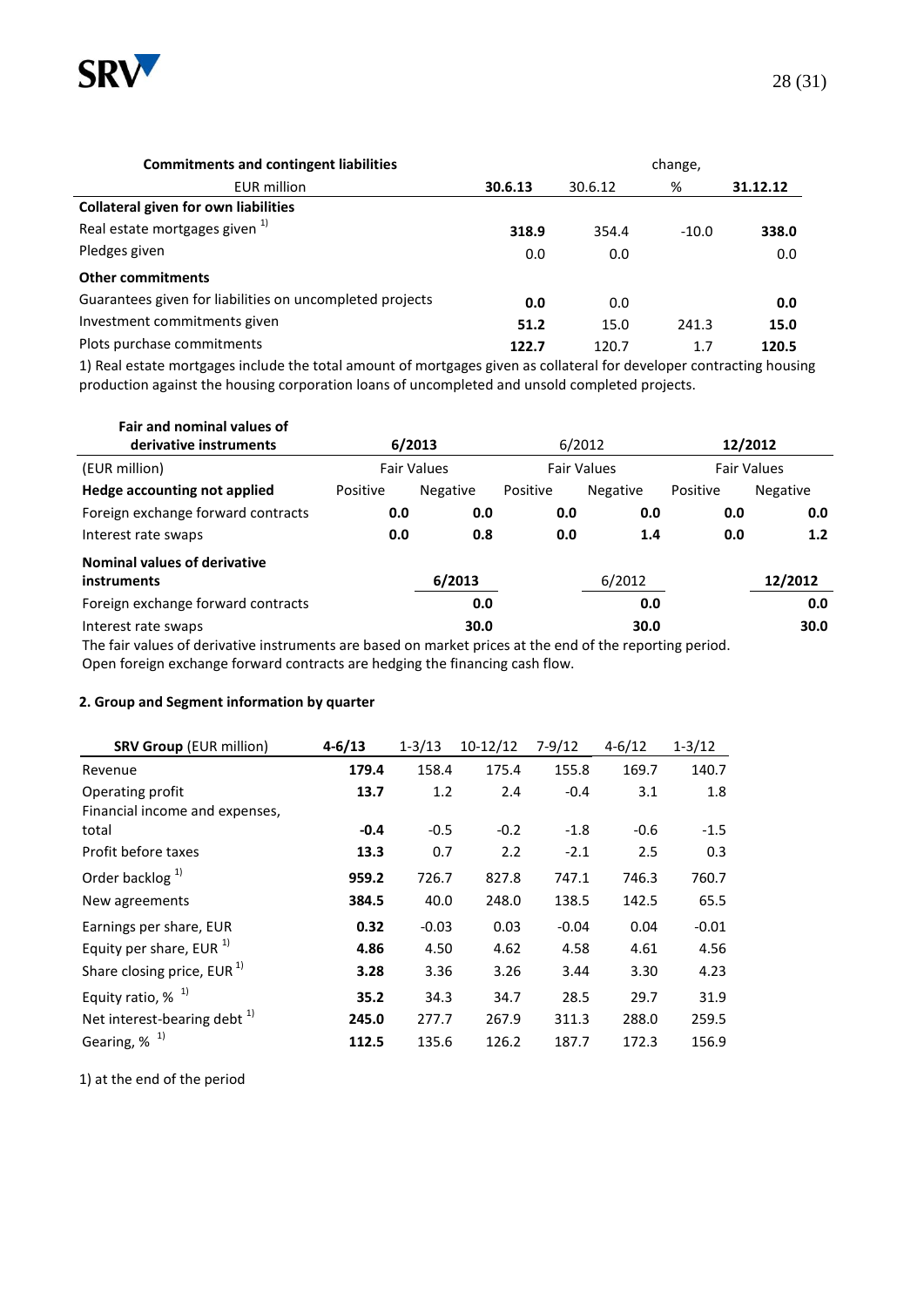

| <b>Commitments and contingent liabilities</b>            | change, |         |         |          |  |  |  |
|----------------------------------------------------------|---------|---------|---------|----------|--|--|--|
| <b>EUR million</b>                                       | 30.6.13 | 30.6.12 | %       | 31.12.12 |  |  |  |
| <b>Collateral given for own liabilities</b>              |         |         |         |          |  |  |  |
| Real estate mortgages given <sup>1)</sup>                | 318.9   | 354.4   | $-10.0$ | 338.0    |  |  |  |
| Pledges given                                            | 0.0     | 0.0     |         | 0.0      |  |  |  |
| <b>Other commitments</b>                                 |         |         |         |          |  |  |  |
| Guarantees given for liabilities on uncompleted projects | 0.0     | 0.0     |         | 0.0      |  |  |  |
| Investment commitments given                             | 51.2    | 15.0    | 241.3   | 15.0     |  |  |  |
| Plots purchase commitments                               | 122.7   | 120.7   | 1.7     | 120.5    |  |  |  |

1) Real estate mortgages include the total amount of mortgages given as collateral for developer contracting housing production against the housing corporation loans of uncompleted and unsold completed projects.

| Fair and nominal values of                                                                               |          |                    |          |                    |          |                    |
|----------------------------------------------------------------------------------------------------------|----------|--------------------|----------|--------------------|----------|--------------------|
| derivative instruments                                                                                   | 6/2013   |                    |          | 6/2012             | 12/2012  |                    |
| (EUR million)                                                                                            |          | <b>Fair Values</b> |          | <b>Fair Values</b> |          | <b>Fair Values</b> |
| Hedge accounting not applied                                                                             | Positive | Negative           | Positive | Negative           | Positive | Negative           |
| Foreign exchange forward contracts                                                                       | 0.0      | 0.0                | 0.0      | 0.0                | 0.0      | 0.0                |
| Interest rate swaps                                                                                      | 0.0      | 0.8                | 0.0      | 1.4                | 0.0      | 1.2                |
| Nominal values of derivative                                                                             |          |                    |          |                    |          |                    |
| instruments                                                                                              |          | 6/2013             |          | 6/2012             |          | 12/2012            |
| Foreign exchange forward contracts                                                                       |          | 0.0                |          | 0.0                |          | 0.0                |
| Interest rate swaps                                                                                      |          | 30.0               |          | 30.0               |          | 30.0               |
| The fair values of derivative instruments are based on market prices at the end of the reporting period. |          |                    |          |                    |          |                    |

Open foreign exchange forward contracts are hedging the financing cash flow.

#### **2. Group and Segment information by quarter**

| <b>SRV Group (EUR million)</b>  | $4 - 6/13$ | $1 - 3/13$ | $10-12/12$ | $7-9/12$ | $4 - 6/12$ | $1 - 3/12$ |
|---------------------------------|------------|------------|------------|----------|------------|------------|
| Revenue                         | 179.4      | 158.4      | 175.4      | 155.8    | 169.7      | 140.7      |
| Operating profit                | 13.7       | 1.2        | 2.4        | $-0.4$   | 3.1        | 1.8        |
| Financial income and expenses,  |            |            |            |          |            |            |
| total                           | $-0.4$     | $-0.5$     | $-0.2$     | $-1.8$   | $-0.6$     | $-1.5$     |
| Profit before taxes             | 13.3       | 0.7        | 2.2        | $-2.1$   | 2.5        | 0.3        |
| Order backlog $1$               | 959.2      | 726.7      | 827.8      | 747.1    | 746.3      | 760.7      |
| New agreements                  | 384.5      | 40.0       | 248.0      | 138.5    | 142.5      | 65.5       |
| Earnings per share, EUR         | 0.32       | $-0.03$    | 0.03       | $-0.04$  | 0.04       | $-0.01$    |
| Equity per share, EUR $^{1}$    | 4.86       | 4.50       | 4.62       | 4.58     | 4.61       | 4.56       |
| Share closing price, EUR $^{1}$ | 3.28       | 3.36       | 3.26       | 3.44     | 3.30       | 4.23       |
| Equity ratio, $%$ <sup>1)</sup> | 35.2       | 34.3       | 34.7       | 28.5     | 29.7       | 31.9       |
| Net interest-bearing debt $1$   | 245.0      | 277.7      | 267.9      | 311.3    | 288.0      | 259.5      |
| Gearing, $%$ <sup>1)</sup>      | 112.5      | 135.6      | 126.2      | 187.7    | 172.3      | 156.9      |

1) at the end of the period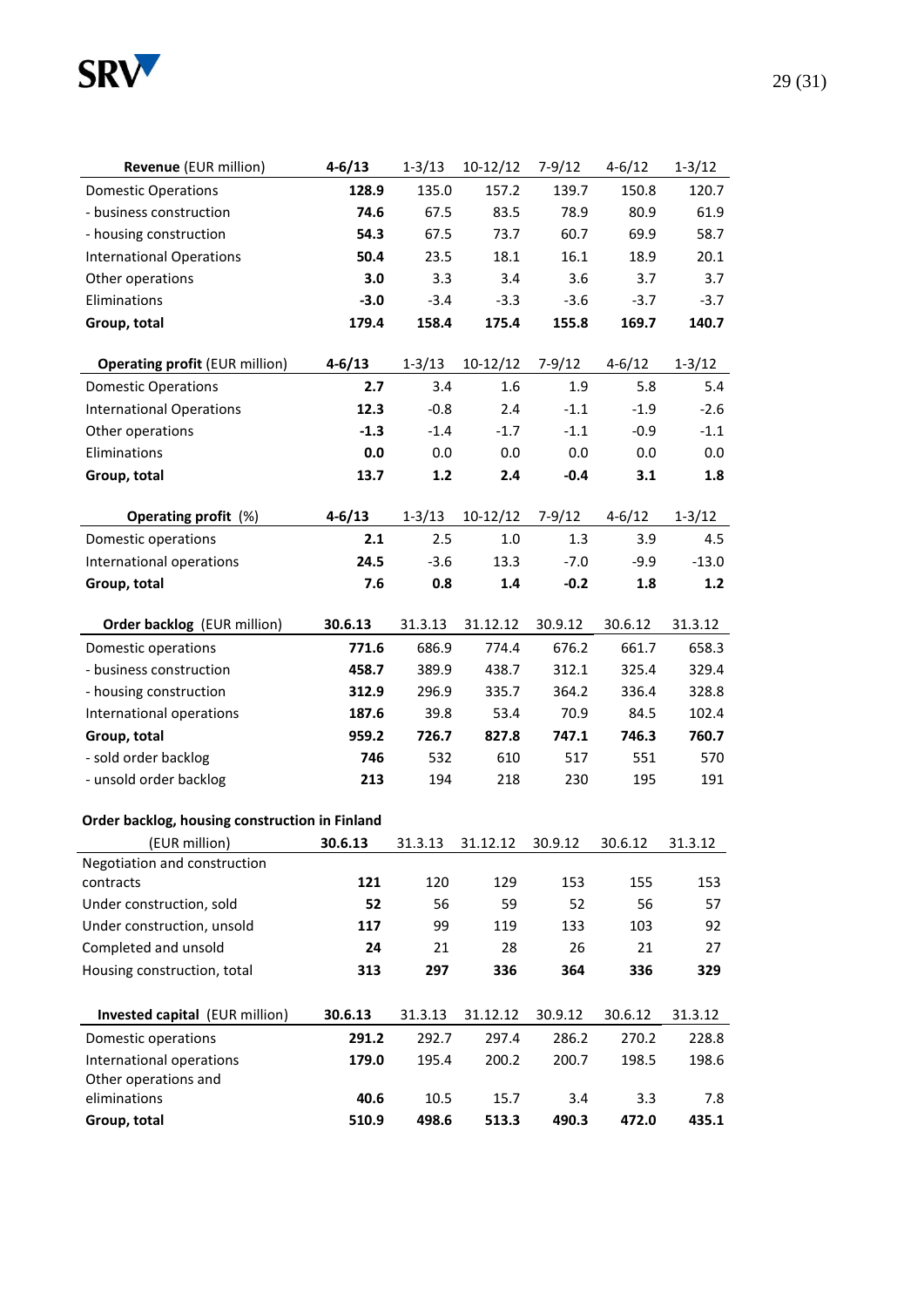

| <b>Revenue</b> (EUR million) | $4 - 6/13$ | $1 - 3/13$ | $10-12/12$ | 7-9/12 | $4 - 6/12$ | $1 - 3/12$ |
|------------------------------|------------|------------|------------|--------|------------|------------|
| <b>Domestic Operations</b>   | 128.9      | 135.0      | 157.2      | 139.7  | 150.8      | 120.7      |
| - business construction      | 74.6       | 67.5       | 83.5       | 78.9   | 80.9       | 61.9       |
| - housing construction       | 54.3       | 67.5       | 73.7       | 60.7   | 69.9       | 58.7       |
| International Operations     | 50.4       | 23.5       | 18.1       | 16.1   | 18.9       | 20.1       |
| Other operations             | 3.0        | 3.3        | 3.4        | 3.6    | 3.7        | 3.7        |

| - housing construction                         | 54.3       | 67.5       | 73.7       | 60.7       | 69.9       | 58.7       |
|------------------------------------------------|------------|------------|------------|------------|------------|------------|
| <b>International Operations</b>                | 50.4       | 23.5       | 18.1       | 16.1       | 18.9       | 20.1       |
| Other operations                               | 3.0        | 3.3        | 3.4        | 3.6        | 3.7        | 3.7        |
| Eliminations                                   | $-3.0$     | $-3.4$     | $-3.3$     | $-3.6$     | $-3.7$     | $-3.7$     |
| Group, total                                   | 179.4      | 158.4      | 175.4      | 155.8      | 169.7      | 140.7      |
|                                                |            |            |            |            |            |            |
| <b>Operating profit (EUR million)</b>          | $4 - 6/13$ | $1 - 3/13$ | $10-12/12$ | $7-9/12$   | $4 - 6/12$ | $1 - 3/12$ |
| <b>Domestic Operations</b>                     | 2.7        | 3.4        | 1.6        | 1.9        | 5.8        | 5.4        |
| <b>International Operations</b>                | 12.3       | $-0.8$     | 2.4        | $-1.1$     | $-1.9$     | $-2.6$     |
| Other operations                               | $-1.3$     | $-1.4$     | $-1.7$     | $-1.1$     | $-0.9$     | $-1.1$     |
| Eliminations                                   | 0.0        | 0.0        | 0.0        | 0.0        | 0.0        | 0.0        |
| Group, total                                   | 13.7       | 1.2        | 2.4        | $-0.4$     | 3.1        | 1.8        |
| <b>Operating profit</b> (%)                    | $4 - 6/13$ | $1 - 3/13$ | $10-12/12$ | $7 - 9/12$ | $4 - 6/12$ | $1 - 3/12$ |
| Domestic operations                            | 2.1        | 2.5        | $1.0$      | 1.3        | 3.9        | 4.5        |
| International operations                       | 24.5       | $-3.6$     | 13.3       | $-7.0$     | $-9.9$     | $-13.0$    |
| Group, total                                   | 7.6        | 0.8        | 1.4        | $-0.2$     | 1.8        | 1.2        |
|                                                |            |            |            |            |            |            |
| Order backlog (EUR million)                    | 30.6.13    | 31.3.13    | 31.12.12   | 30.9.12    | 30.6.12    | 31.3.12    |
| Domestic operations                            | 771.6      | 686.9      | 774.4      | 676.2      | 661.7      | 658.3      |
| - business construction                        | 458.7      | 389.9      | 438.7      | 312.1      | 325.4      | 329.4      |
| - housing construction                         | 312.9      | 296.9      | 335.7      | 364.2      | 336.4      | 328.8      |
| International operations                       | 187.6      | 39.8       | 53.4       | 70.9       | 84.5       | 102.4      |
| Group, total                                   | 959.2      | 726.7      | 827.8      | 747.1      | 746.3      | 760.7      |
| - sold order backlog                           | 746        | 532        | 610        | 517        | 551        | 570        |
| - unsold order backlog                         | 213        | 194        | 218        | 230        | 195        | 191        |
| Order backlog, housing construction in Finland |            |            |            |            |            |            |
| (EUR million)                                  | 30.6.13    | 31.3.13    | 31.12.12   | 30.9.12    | 30.6.12    | 31.3.12    |
| Negotiation and construction                   |            |            |            |            |            |            |
| contracts                                      | 121        | 120        | 129        | 153        | 155        | 153        |
| Under construction, sold                       | 52         | 56         | 59         | 52         | 56         | 57         |
| Under construction, unsold                     | 117        | 99         | 119        | 133        | 103        | 92         |
| Completed and unsold                           | 24         | 21         | 28         | 26         | 21         | 27         |
| Housing construction, total                    | 313        | 297        | 336        | 364        | 336        | 329        |
| Invested capital (EUR million)                 | 30.6.13    | 31.3.13    | 31.12.12   | 30.9.12    | 30.6.12    | 31.3.12    |
| Domestic operations                            | 291.2      | 292.7      | 297.4      | 286.2      | 270.2      | 228.8      |
| International operations                       | 179.0      | 195.4      | 200.2      | 200.7      | 198.5      | 198.6      |
| Other operations and                           |            |            |            |            |            |            |
| eliminations                                   | 40.6       | 10.5       | 15.7       | 3.4        | 3.3        | 7.8        |
| Group, total                                   | 510.9      | 498.6      | 513.3      | 490.3      | 472.0      | 435.1      |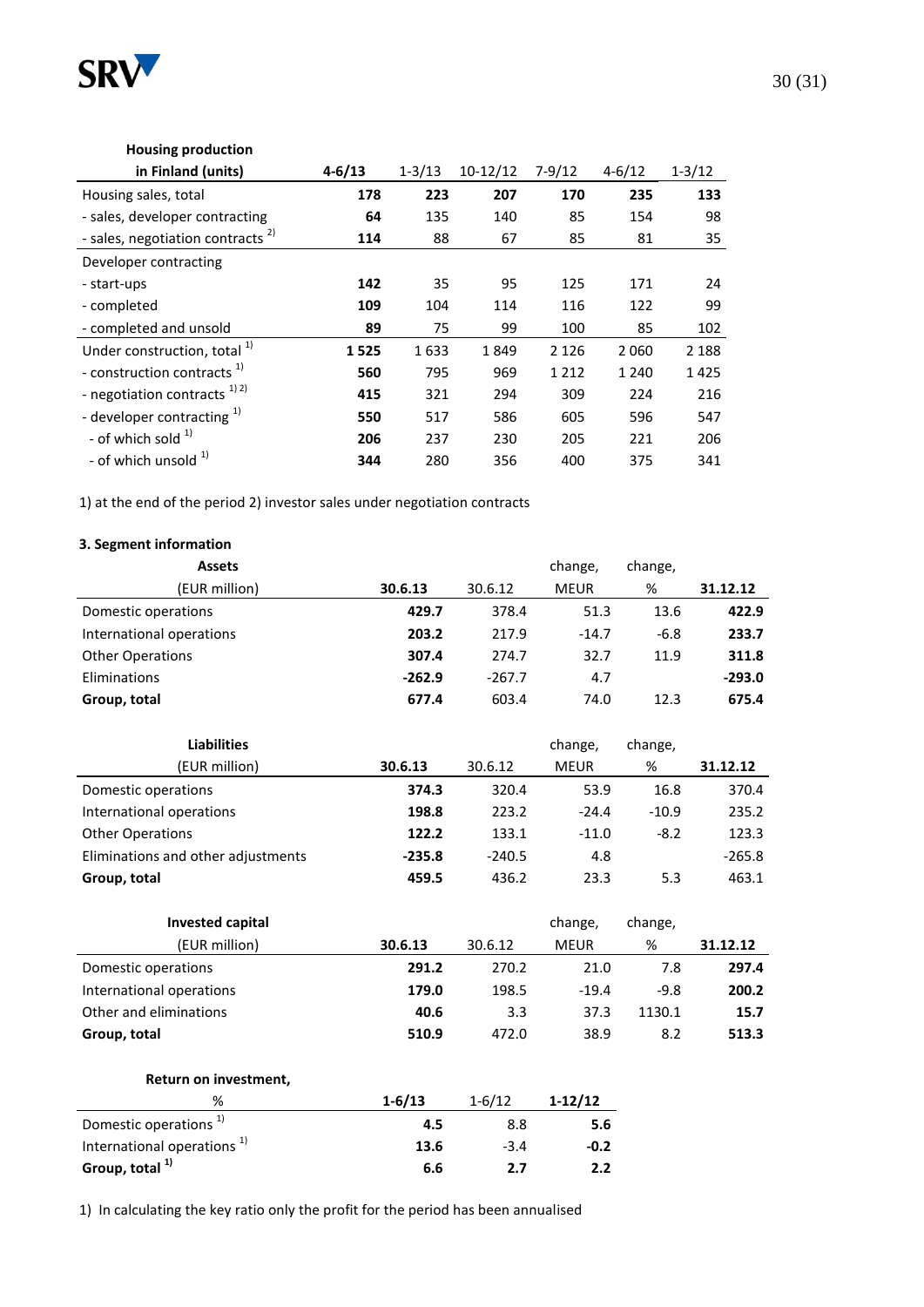

### **Housing production**

| in Finland (units)                           | $4 - 6/13$ | $1 - 3/13$ | $10-12/12$ | $7 - 9/12$ | $4 - 6/12$ | $1 - 3/12$ |
|----------------------------------------------|------------|------------|------------|------------|------------|------------|
| Housing sales, total                         | 178        | 223        | 207        | 170        | 235        | 133        |
| - sales, developer contracting               | 64         | 135        | 140        | 85         | 154        | 98         |
| - sales, negotiation contracts <sup>2)</sup> | 114        | 88         | 67         | 85         | 81         | 35         |
| Developer contracting                        |            |            |            |            |            |            |
| - start-ups                                  | 142        | 35         | 95         | 125        | 171        | 24         |
| - completed                                  | 109        | 104        | 114        | 116        | 122        | 99         |
| - completed and unsold                       | 89         | 75         | 99         | 100        | 85         | 102        |
| Under construction, total <sup>1)</sup>      | 1525       | 1633       | 1849       | 2 1 2 6    | 2 0 6 0    | 2 1 8 8    |
| - construction contracts <sup>1)</sup>       | 560        | 795        | 969        | 1 2 1 2    | 1 2 4 0    | 1425       |
| - negotiation contracts $^{1/2)}$            | 415        | 321        | 294        | 309        | 224        | 216        |
| - developer contracting $1$                  | 550        | 517        | 586        | 605        | 596        | 547        |
| - of which sold $1$                          | 206        | 237        | 230        | 205        | 221        | 206        |
| - of which unsold <sup>1)</sup>              | 344        | 280        | 356        | 400        | 375        | 341        |

1) at the end of the period 2) investor sales under negotiation contracts

### **3. Segment information**

| <b>Assets</b>            |          |          | change,     | change, |          |
|--------------------------|----------|----------|-------------|---------|----------|
| (EUR million)            | 30.6.13  | 30.6.12  | <b>MEUR</b> | %       | 31.12.12 |
| Domestic operations      | 429.7    | 378.4    | 51.3        | 13.6    | 422.9    |
| International operations | 203.2    | 217.9    | $-14.7$     | $-6.8$  | 233.7    |
| <b>Other Operations</b>  | 307.4    | 274.7    | 32.7        | 11.9    | 311.8    |
| Eliminations             | $-262.9$ | $-267.7$ | 4.7         |         | $-293.0$ |
| Group, total             | 677.4    | 603.4    | 74.0        | 12.3    | 675.4    |
|                          |          |          |             |         |          |

| <b>Liabilities</b>                 |          |          | change,     | change, |          |
|------------------------------------|----------|----------|-------------|---------|----------|
| (EUR million)                      | 30.6.13  | 30.6.12  | <b>MEUR</b> | %       | 31.12.12 |
| Domestic operations                | 374.3    | 320.4    | 53.9        | 16.8    | 370.4    |
| International operations           | 198.8    | 223.2    | $-24.4$     | $-10.9$ | 235.2    |
| <b>Other Operations</b>            | 122.2    | 133.1    | $-11.0$     | $-8.2$  | 123.3    |
| Eliminations and other adjustments | $-235.8$ | $-240.5$ | 4.8         |         | $-265.8$ |
| Group, total                       | 459.5    | 436.2    | 23.3        | 5.3     | 463.1    |

| <b>Invested capital</b>  |         |         | change,     | change, |          |
|--------------------------|---------|---------|-------------|---------|----------|
| (EUR million)            | 30.6.13 | 30.6.12 | <b>MEUR</b> | %       | 31.12.12 |
| Domestic operations      | 291.2   | 270.2   | 21.0        | 7.8     | 297.4    |
| International operations | 179.0   | 198.5   | $-19.4$     | $-9.8$  | 200.2    |
| Other and eliminations   | 40.6    | 3.3     | 37.3        | 1130.1  | 15.7     |
| Group, total             | 510.9   | 472.0   | 38.9        | 8.2     | 513.3    |

#### **Return on investment,**

| ℅                                      | $1 - 6/13$ | $1 - 6/12$ | $1-12/12$ |
|----------------------------------------|------------|------------|-----------|
| Domestic operations <sup>1)</sup>      | 4.5        | 8.8        | 5.6       |
| International operations <sup>1)</sup> | 13.6       | $-3.4$     | $-0.2$    |
| Group, total <sup>1)</sup>             | 6.6        | 2.7        | 2.2       |

1) In calculating the key ratio only the profit for the period has been annualised